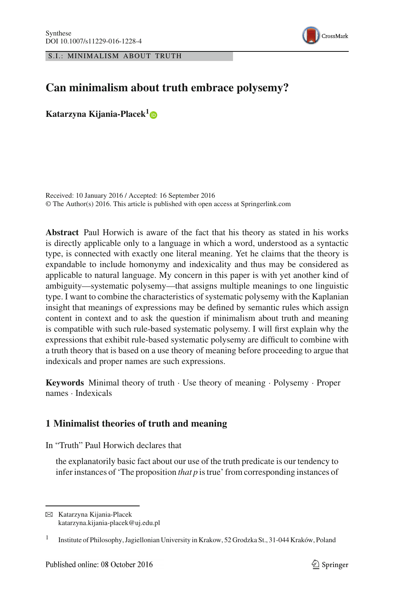S.I.: MINIMALISM ABOUT TRUTH



# **Can minimalism about truth embrace polysemy?**

**Katarzyna Kijania-Placek[1](http://orcid.org/0000-0002-2764-7758)**

Received: 10 January 2016 / Accepted: 16 September 2016 © The Author(s) 2016. This article is published with open access at Springerlink.com

**Abstract** Paul Horwich is aware of the fact that his theory as stated in his works is directly applicable only to a language in which a word, understood as a syntactic type, is connected with exactly one literal meaning. Yet he claims that the theory is expandable to include homonymy and indexicality and thus may be considered as applicable to natural language. My concern in this paper is with yet another kind of ambiguity—systematic polysemy—that assigns multiple meanings to one linguistic type. I want to combine the characteristics of systematic polysemy with the Kaplanian insight that meanings of expressions may be defined by semantic rules which assign content in context and to ask the question if minimalism about truth and meaning is compatible with such rule-based systematic polysemy. I will first explain why the expressions that exhibit rule-based systematic polysemy are difficult to combine with a truth theory that is based on a use theory of meaning before proceeding to argue that indexicals and proper names are such expressions.

**Keywords** Minimal theory of truth · Use theory of meaning · Polysemy · Proper names · Indexicals

## <span id="page-0-0"></span>**1 Minimalist theories of truth and meaning**

In "Truth" Paul Horwich declares that

the explanatorily basic fact about our use of the truth predicate is our tendency to infer instances of 'The proposition *that p* is true' from corresponding instances of

 $\boxtimes$  Katarzyna Kijania-Placek katarzyna.kijania-placek@uj.edu.pl

<sup>&</sup>lt;sup>1</sup> Institute of Philosophy, Jagiellonian University in Krakow, 52 Grodzka St., 31-044 Kraków, Poland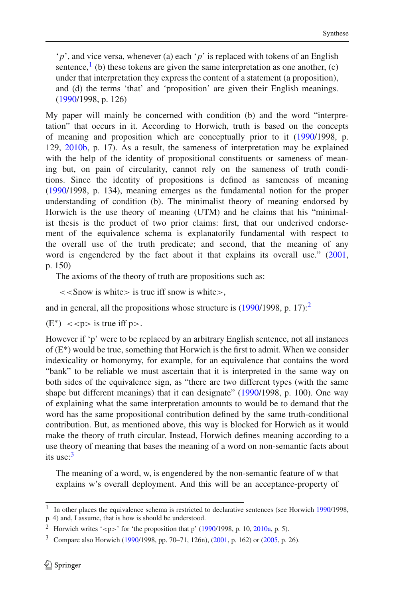'*p*', and vice versa, whenever (a) each '*p*' is replaced with tokens of an English sentence, $\frac{1}{1}$  (b) these tokens are given the same interpretation as one another, (c) under that interpretation they express the content of a statement (a proposition), and (d) the terms 'that' and 'proposition' are given their English meanings. [\(1990](#page-28-0)/1998, p. 126)

My paper will mainly be concerned with condition (b) and the word "interpretation" that occurs in it. According to Horwich, truth is based on the concepts of meaning and proposition which are conceptually prior to it [\(1990](#page-28-0)/1998, p. 129, [2010b](#page-28-1), p. 17). As a result, the sameness of interpretation may be explained with the help of the identity of propositional constituents or sameness of meaning but, on pain of circularity, cannot rely on the sameness of truth conditions. Since the identity of propositions is defined as sameness of meaning [\(1990/](#page-28-0)1998, p. 134), meaning emerges as the fundamental notion for the proper understanding of condition (b). The minimalist theory of meaning endorsed by Horwich is the use theory of meaning (UTM) and he claims that his "minimalist thesis is the product of two prior claims: first, that our underived endorsement of the equivalence schema is explanatorily fundamental with respect to the overall use of the truth predicate; and second, that the meaning of any word is engendered by the fact about it that explains its overall use." [\(2001,](#page-28-2) p. 150)

The axioms of the theory of truth are propositions such as:

 $<<$ Snow is white $>$  is true iff snow is white $>$ ,

and in general, all the propositions whose structure is  $(1990/1998, p. 17)$  $(1990/1998, p. 17)$ :

 $(E^*)$  < < p > is true iff p >.

However if 'p' were to be replaced by an arbitrary English sentence, not all instances of  $(E^*)$  would be true, something that Horwich is the first to admit. When we consider indexicality or homonymy, for example, for an equivalence that contains the word "bank" to be reliable we must ascertain that it is interpreted in the same way on both sides of the equivalence sign, as "there are two different types (with the same shape but different meanings) that it can designate" [\(1990](#page-28-0)/1998, p. 100). One way of explaining what the same interpretation amounts to would be to demand that the word has the same propositional contribution defined by the same truth-conditional contribution. But, as mentioned above, this way is blocked for Horwich as it would make the theory of truth circular. Instead, Horwich defines meaning according to a use theory of meaning that bases the meaning of a word on non-semantic facts about its use: $3$ 

The meaning of a word, w, is engendered by the non-semantic feature of w that explains w's overall deployment. And this will be an acceptance-property of

<span id="page-1-0"></span><sup>1</sup> In other places the equivalence schema is restricted to declarative sentences (see Horwich [1990/](#page-28-0)1998, p. 4) and, I assume, that is how is should be understood.

<sup>&</sup>lt;sup>2</sup> Horwich writes '<p>' for 'the proposition that p' [\(1990/](#page-28-0)1998, p. 10, [2010a](#page-28-3), p. 5).

<span id="page-1-2"></span><span id="page-1-1"></span><sup>3</sup> Compare also Horwich [\(1990](#page-28-0)/1998, pp. 70–71, 126n), [\(2001](#page-28-2), p. 162) or [\(2005](#page-28-4), p. 26).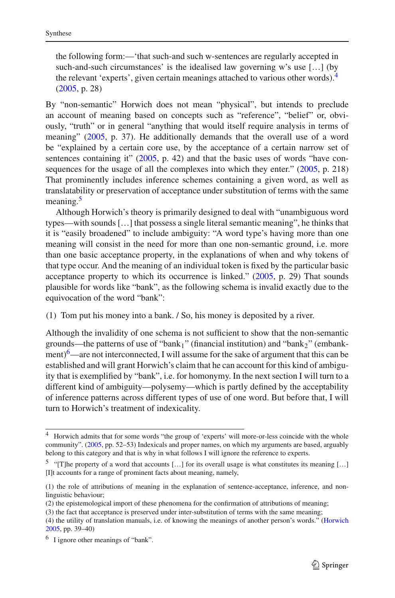the following form:—'that such-and such w-sentences are regularly accepted in such-and-such circumstances' is the idealised law governing w's use […] (by the relevant 'experts', given certain meanings attached to various other words)[.4](#page-2-0) [\(2005](#page-28-4), p. 28)

By "non-semantic" Horwich does not mean "physical", but intends to preclude an account of meaning based on concepts such as "reference", "belief" or, obviously, "truth" or in general "anything that would itself require analysis in terms of meaning" [\(2005,](#page-28-4) p. 37). He additionally demands that the overall use of a word be "explained by a certain core use, by the acceptance of a certain narrow set of sentences containing it" [\(2005,](#page-28-4) p. 42) and that the basic uses of words "have consequences for the usage of all the complexes into which they enter." [\(2005,](#page-28-4) p. 218) That prominently includes inference schemes containing a given word, as well as translatability or preservation of acceptance under substitution of terms with the same meaning.<sup>[5](#page-2-1)</sup>

Although Horwich's theory is primarily designed to deal with "unambiguous word types—with sounds […] that possess a single literal semantic meaning", he thinks that it is "easily broadened" to include ambiguity: "A word type's having more than one meaning will consist in the need for more than one non-semantic ground, i.e. more than one basic acceptance property, in the explanations of when and why tokens of that type occur. And the meaning of an individual token is fixed by the particular basic acceptance property to which its occurrence is linked." [\(2005](#page-28-4), p. 29) That sounds plausible for words like "bank", as the following schema is invalid exactly due to the equivocation of the word "bank":

(1) Tom put his money into a bank. / So, his money is deposited by a river.

Although the invalidity of one schema is not sufficient to show that the non-semantic grounds—the patterns of use of "bank<sub>1</sub>" (financial institution) and "bank<sub>2</sub>" (embankment) $^6$  $^6$ —are not interconnected, I will assume for the sake of argument that this can be established and will grant Horwich's claim that he can account for this kind of ambiguity that is exemplified by "bank", i.e. for homonymy. In the next section I will turn to a different kind of ambiguity—polysemy—which is partly defined by the acceptability of inference patterns across different types of use of one word. But before that, I will turn to Horwich's treatment of indexicality.

<span id="page-2-0"></span><sup>4</sup> Horwich admits that for some words "the group of 'experts' will more-or-less coincide with the whole community". [\(2005](#page-28-4), pp. 52–53) Indexicals and proper names, on which my arguments are based, arguably belong to this category and that is why in what follows I will ignore the reference to experts.

<span id="page-2-1"></span><sup>&</sup>lt;sup>5</sup> "[T]he property of a word that accounts [...] for its overall usage is what constitutes its meaning [...] [I]t accounts for a range of prominent facts about meaning, namely,

<sup>(1)</sup> the role of attributions of meaning in the explanation of sentence-acceptance, inference, and nonlinguistic behaviour;

<sup>(2)</sup> the epistemological import of these phenomena for the confirmation of attributions of meaning;

<sup>(3)</sup> the fact that acceptance is preserved under inter-substitution of terms with the same meaning;

<sup>(4)</sup> the utility of translation manuals, i.e. of knowing the meanings of another person's words." [\(Horwich](#page-28-4) [2005,](#page-28-4) pp. 39–40)

<span id="page-2-2"></span> $6\,$  I ignore other meanings of "bank".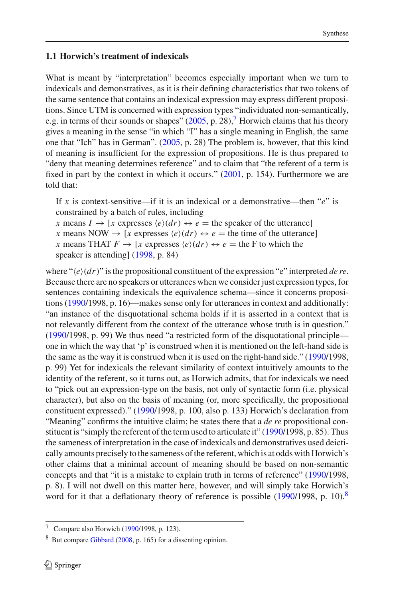## **1.1 Horwich's treatment of indexicals**

What is meant by "interpretation" becomes especially important when we turn to indexicals and demonstratives, as it is their defining characteristics that two tokens of the same sentence that contains an indexical expression may express different propositions. Since UTM is concerned with expression types "individuated non-semantically, e.g. in terms of their sounds or shapes"  $(2005, p. 28)$  $(2005, p. 28)$ , Horwich claims that his theory gives a meaning in the sense "in which "I" has a single meaning in English, the same one that "Ich" has in German". [\(2005,](#page-28-4) p. 28) The problem is, however, that this kind of meaning is insufficient for the expression of propositions. He is thus prepared to "deny that meaning determines reference" and to claim that "the referent of a term is fixed in part by the context in which it occurs." [\(2001,](#page-28-2) p. 154). Furthermore we are told that:

If *x* is context-sensitive—if it is an indexical or a demonstrative—then "*e*" is constrained by a batch of rules, including

*x* means  $I \rightarrow [x \text{ expresses } \langle e \rangle (dr) \leftrightarrow e = \text{the speaker of the utterance}]$ 

*x* means NOW  $\rightarrow$  [*x* expresses  $\langle e \rangle (dr) \leftrightarrow e =$  the time of the utterance]

*x* means THAT  $F \to [x \text{ expresses } \langle e \rangle (dr) \leftrightarrow e = \text{the } F \text{ to which the}$ 

speaker is attending] [\(1998](#page-28-5), p. 84)

where " $\langle e \rangle (dr)$ " is the propositional constituent of the expression "e" interpreted *de re*. Because there are no speakers or utterances when we consider just expression types, for sentences containing indexicals the equivalence schema—since it concerns propositions [\(1990](#page-28-0)/1998, p. 16)—makes sense only for utterances in context and additionally: "an instance of the disquotational schema holds if it is asserted in a context that is not relevantly different from the context of the utterance whose truth is in question." [\(1990/](#page-28-0)1998, p. 99) We thus need "a restricted form of the disquotational principle one in which the way that 'p' is construed when it is mentioned on the left-hand side is the same as the way it is construed when it is used on the right-hand side." [\(1990/](#page-28-0)1998, p. 99) Yet for indexicals the relevant similarity of context intuitively amounts to the identity of the referent, so it turns out, as Horwich admits, that for indexicals we need to "pick out an expression-type on the basis, not only of syntactic form (i.e. physical character), but also on the basis of meaning (or, more specifically, the propositional constituent expressed)." [\(1990/](#page-28-0)1998, p. 100, also p. 133) Horwich's declaration from "Meaning" confirms the intuitive claim; he states there that a *de re* propositional constituent is "simply the referent of the term used to articulate it" [\(1990/](#page-28-0)1998, p. 85). Thus the sameness of interpretation in the case of indexicals and demonstratives used deictically amounts precisely to the sameness of the referent, which is at odds with Horwich's other claims that a minimal account of meaning should be based on non-semantic concepts and that "it is a mistake to explain truth in terms of reference" [\(1990/](#page-28-0)1998, p. 8). I will not dwell on this matter here, however, and will simply take Horwich's word for it that a deflationary theory of reference is possible [\(1990](#page-28-0)/199[8](#page-3-1), p. 10).<sup>8</sup>

 $\overline{7}$  Compare also Horwich [\(1990](#page-28-0)/1998, p. 123).

<span id="page-3-1"></span><span id="page-3-0"></span><sup>8</sup> But compare [Gibbard](#page-28-6) [\(2008](#page-28-6), p. 165) for a dissenting opinion.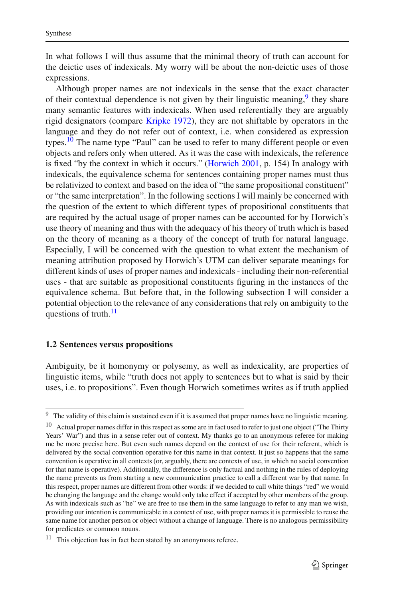In what follows I will thus assume that the minimal theory of truth can account for the deictic uses of indexicals. My worry will be about the non-deictic uses of those expressions.

Although proper names are not indexicals in the sense that the exact character of their contextual dependence is not given by their linguistic meaning,  $9$  they share many semantic features with indexicals. When used referentially they are arguably rigid designators (compare [Kripke 1972](#page-29-0)), they are not shiftable by operators in the language and they do not refer out of context, i.e. when considered as expression types.<sup>[10](#page-4-1)</sup> The name type "Paul" can be used to refer to many different people or even objects and refers only when uttered. As it was the case with indexicals, the reference is fixed "by the context in which it occurs." [\(Horwich 2001,](#page-28-2) p. 154) In analogy with indexicals, the equivalence schema for sentences containing proper names must thus be relativized to context and based on the idea of "the same propositional constituent" or "the same interpretation". In the following sections I will mainly be concerned with the question of the extent to which different types of propositional constituents that are required by the actual usage of proper names can be accounted for by Horwich's use theory of meaning and thus with the adequacy of his theory of truth which is based on the theory of meaning as a theory of the concept of truth for natural language. Especially, I will be concerned with the question to what extent the mechanism of meaning attribution proposed by Horwich's UTM can deliver separate meanings for different kinds of uses of proper names and indexicals - including their non-referential uses - that are suitable as propositional constituents figuring in the instances of the equivalence schema. But before that, in the following subsection I will consider a potential objection to the relevance of any considerations that rely on ambiguity to the questions of truth.<sup>[11](#page-4-2)</sup>

#### **1.2 Sentences versus propositions**

Ambiguity, be it homonymy or polysemy, as well as indexicality, are properties of linguistic items, while "truth does not apply to sentences but to what is said by their uses, i.e. to propositions". Even though Horwich sometimes writes as if truth applied

<sup>&</sup>lt;sup>9</sup> The validity of this claim is sustained even if it is assumed that proper names have no linguistic meaning.

<span id="page-4-1"></span><span id="page-4-0"></span><sup>&</sup>lt;sup>10</sup> Actual proper names differ in this respect as some are in fact used to refer to just one object ("The Thirty Years' War") and thus in a sense refer out of context. My thanks go to an anonymous referee for making me be more precise here. But even such names depend on the context of use for their referent, which is delivered by the social convention operative for this name in that context. It just so happens that the same convention is operative in all contexts (or, arguably, there are contexts of use, in which no social convention for that name is operative). Additionally, the difference is only factual and nothing in the rules of deploying the name prevents us from starting a new communication practice to call a different war by that name. In this respect, proper names are different from other words: if we decided to call white things "red" we would be changing the language and the change would only take effect if accepted by other members of the group. As with indexicals such as "he" we are free to use them in the same language to refer to any man we wish, providing our intention is communicable in a context of use, with proper names it is permissible to reuse the same name for another person or object without a change of language. There is no analogous permissibility for predicates or common nouns.

<span id="page-4-2"></span> $11$  This objection has in fact been stated by an anonymous referee.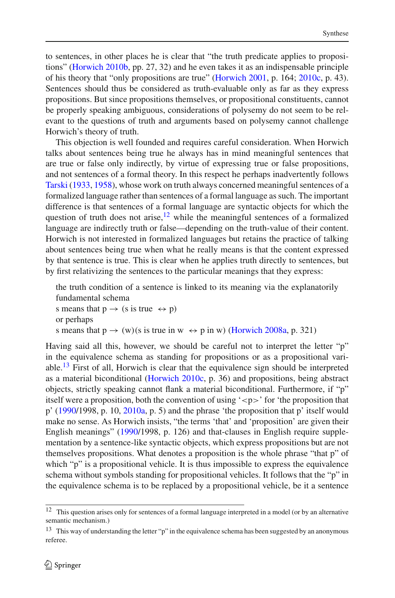to sentences, in other places he is clear that "the truth predicate applies to propositions" [\(Horwich 2010b](#page-28-1), pp. 27, 32) and he even takes it as an indispensable principle of his theory that "only propositions are true" [\(Horwich 2001,](#page-28-2) p. 164; [2010c,](#page-28-7) p. 43). Sentences should thus be considered as truth-evaluable only as far as they express propositions. But since propositions themselves, or propositional constituents, cannot be properly speaking ambiguous, considerations of polysemy do not seem to be relevant to the questions of truth and arguments based on polysemy cannot challenge Horwich's theory of truth.

This objection is well founded and requires careful consideration. When Horwich talks about sentences being true he always has in mind meaningful sentences that are true or false only indirectly, by virtue of expressing true or false propositions, and not sentences of a formal theory. In this respect he perhaps inadvertently follows [Tarski](#page-29-1) [\(1933](#page-29-1), [1958\)](#page-30-0), whose work on truth always concerned meaningful sentences of a formalized language rather than sentences of a formal language as such. The important difference is that sentences of a formal language are syntactic objects for which the question of truth does not arise, $12$  while the meaningful sentences of a formalized language are indirectly truth or false—depending on the truth-value of their content. Horwich is not interested in formalized languages but retains the practice of talking about sentences being true when what he really means is that the content expressed by that sentence is true. This is clear when he applies truth directly to sentences, but by first relativizing the sentences to the particular meanings that they express:

the truth condition of a sentence is linked to its meaning via the explanatorily fundamental schema

s means that  $p \rightarrow (s \text{ is true } \leftrightarrow p)$ or perhaps s means that  $p \rightarrow (w)(s \text{ is true in } w \leftrightarrow p \text{ in } w)$  [\(Horwich 2008a](#page-28-8), p. 321)

Having said all this, however, we should be careful not to interpret the letter "p" in the equivalence schema as standing for propositions or as a propositional vari-able.<sup>[13](#page-5-1)</sup> First of all, Horwich is clear that the equivalence sign should be interpreted as a material biconditional [\(Horwich 2010c,](#page-28-7) p. 36) and propositions, being abstract objects, strictly speaking cannot flank a material biconditional. Furthermore, if "p" itself were a proposition, both the convention of using ' $-p$ ' for 'the proposition that p' [\(1990/](#page-28-0)1998, p. 10, [2010a](#page-28-3), p. 5) and the phrase 'the proposition that p' itself would make no sense. As Horwich insists, "the terms 'that' and 'proposition' are given their English meanings" [\(1990/](#page-28-0)1998, p. 126) and that-clauses in English require supplementation by a sentence-like syntactic objects, which express propositions but are not themselves propositions. What denotes a proposition is the whole phrase "that p" of which "p" is a propositional vehicle. It is thus impossible to express the equivalence schema without symbols standing for propositional vehicles. It follows that the "p" in the equivalence schema is to be replaced by a propositional vehicle, be it a sentence

<sup>12</sup> This question arises only for sentences of a formal language interpreted in a model (or by an alternative semantic mechanism.)

<span id="page-5-1"></span><span id="page-5-0"></span> $13$  This way of understanding the letter "p" in the equivalence schema has been suggested by an anonymous referee.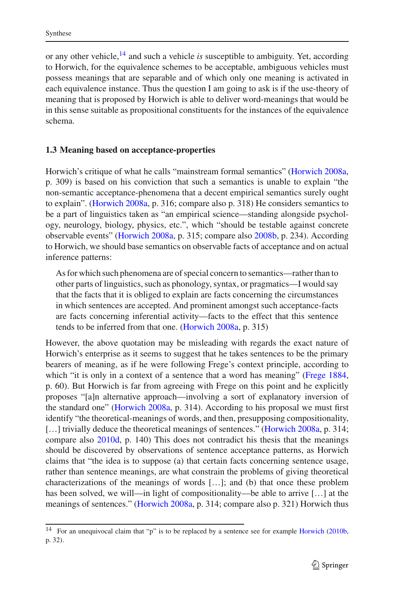or any other vehicle,[14](#page-6-0) and such a vehicle *is* susceptible to ambiguity. Yet, according to Horwich, for the equivalence schemes to be acceptable, ambiguous vehicles must possess meanings that are separable and of which only one meaning is activated in each equivalence instance. Thus the question I am going to ask is if the use-theory of meaning that is proposed by Horwich is able to deliver word-meanings that would be in this sense suitable as propositional constituents for the instances of the equivalence schema.

### **1.3 Meaning based on acceptance-properties**

Horwich's critique of what he calls "mainstream formal semantics" [\(Horwich 2008a,](#page-28-8) p. 309) is based on his conviction that such a semantics is unable to explain "the non-semantic acceptance-phenomena that a decent empirical semantics surely ought to explain". [\(Horwich 2008a](#page-28-8), p. 316; compare also p. 318) He considers semantics to be a part of linguistics taken as "an empirical science—standing alongside psychology, neurology, biology, physics, etc.", which "should be testable against concrete observable events" [\(Horwich 2008a,](#page-28-8) p. 315; compare also [2008b,](#page-28-9) p. 234). According to Horwich, we should base semantics on observable facts of acceptance and on actual inference patterns:

As for which such phenomena are of special concern to semantics—rather than to other parts of linguistics, such as phonology, syntax, or pragmatics—I would say that the facts that it is obliged to explain are facts concerning the circumstances in which sentences are accepted. And prominent amongst such acceptance-facts are facts concerning inferential activity—facts to the effect that this sentence tends to be inferred from that one. [\(Horwich 2008a](#page-28-8), p. 315)

However, the above quotation may be misleading with regards the exact nature of Horwich's enterprise as it seems to suggest that he takes sentences to be the primary bearers of meaning, as if he were following Frege's context principle, according to which "it is only in a context of a sentence that a word has meaning" [\(Frege 1884,](#page-27-0) p. 60). But Horwich is far from agreeing with Frege on this point and he explicitly proposes "[a]n alternative approach—involving a sort of explanatory inversion of the standard one" [\(Horwich 2008a](#page-28-8), p. 314). According to his proposal we must first identify "the theoretical-meanings of words, and then, presupposing compositionality, [...] trivially deduce the theoretical meanings of sentences." [\(Horwich 2008a,](#page-28-8) p. 314; compare also [2010d](#page-28-10), p. 140) This does not contradict his thesis that the meanings should be discovered by observations of sentence acceptance patterns, as Horwich claims that "the idea is to suppose (a) that certain facts concerning sentence usage, rather than sentence meanings, are what constrain the problems of giving theoretical characterizations of the meanings of words […]; and (b) that once these problem has been solved, we will—in light of compositionality—be able to arrive […] at the meanings of sentences." [\(Horwich 2008a](#page-28-8), p. 314; compare also p. 321) Horwich thus

<span id="page-6-0"></span><sup>&</sup>lt;sup>14</sup> For an unequivocal claim that "p" is to be replaced by a sentence see for example [Horwich](#page-28-1) [\(2010b](#page-28-1), p. 32).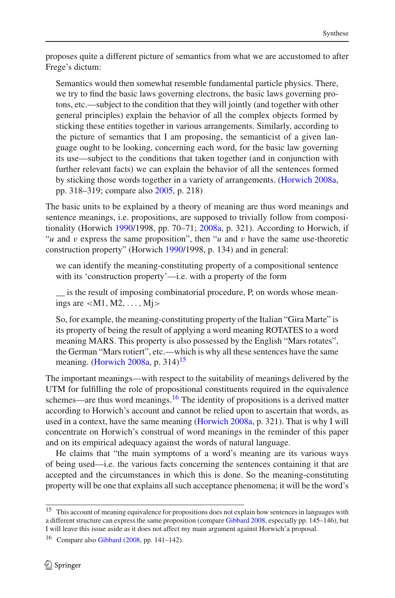proposes quite a different picture of semantics from what we are accustomed to after Frege's dictum:

Semantics would then somewhat resemble fundamental particle physics. There, we try to find the basic laws governing electrons, the basic laws governing protons, etc.—subject to the condition that they will jointly (and together with other general principles) explain the behavior of all the complex objects formed by sticking these entities together in various arrangements. Similarly, according to the picture of semantics that I am proposing, the semanticist of a given language ought to be looking, concerning each word, for the basic law governing its use—subject to the conditions that taken together (and in conjunction with further relevant facts) we can explain the behavior of all the sentences formed by sticking those words together in a variety of arrangements. [\(Horwich 2008a](#page-28-8), pp. 318–319; compare also [2005](#page-28-4), p. 218)

The basic units to be explained by a theory of meaning are thus word meanings and sentence meanings, i.e. propositions, are supposed to trivially follow from compositionality (Horwich [1990/](#page-28-0)1998, pp. 70–71; [2008a](#page-28-8), p. 321). According to Horwich, if "*u* and *v* express the same proposition", then "*u* and *v* have the same use-theoretic construction property" (Horwich [1990/](#page-28-0)1998, p. 134) and in general:

we can identify the meaning-constituting property of a compositional sentence with its 'construction property'—i.e. with a property of the form

is the result of imposing combinatorial procedure, P, on words whose meanings are  $|M1, M2, \ldots, M\}$ 

So, for example, the meaning-constituting property of the Italian "Gira Marte" is its property of being the result of applying a word meaning ROTATES to a word meaning MARS. This property is also possessed by the English "Mars rotates", the German "Mars rotiert", etc.—which is why all these sentences have the same meaning. [\(Horwich 2008a](#page-28-8), p. 314)<sup>[15](#page-7-0)</sup>

The important meanings—with respect to the suitability of meanings delivered by the UTM for fulfilling the role of propositional constituents required in the equivalence schemes—are thus word meanings.<sup>16</sup> The identity of propositions is a derived matter according to Horwich's account and cannot be relied upon to ascertain that words, as used in a context, have the same meaning [\(Horwich 2008a,](#page-28-8) p. 321). That is why I will concentrate on Horwich's construal of word meanings in the reminder of this paper and on its empirical adequacy against the words of natural language.

He claims that "the main symptoms of a word's meaning are its various ways of being used—i.e. the various facts concerning the sentences containing it that are accepted and the circumstances in which this is done. So the meaning-constituting property will be one that explains all such acceptance phenomena; it will be the word's

<span id="page-7-0"></span><sup>&</sup>lt;sup>15</sup> This account of meaning equivalence for propositions does not explain how sentences in languages with a different structure can express the same proposition (compare [Gibbard 2008](#page-28-6), especially pp. 145–146), but I will leave this issue aside as it does not affect my main argument against Horwich'a proposal.

<span id="page-7-1"></span><sup>&</sup>lt;sup>16</sup> Compare also [Gibbard](#page-28-6) [\(2008,](#page-28-6) pp. 141–142).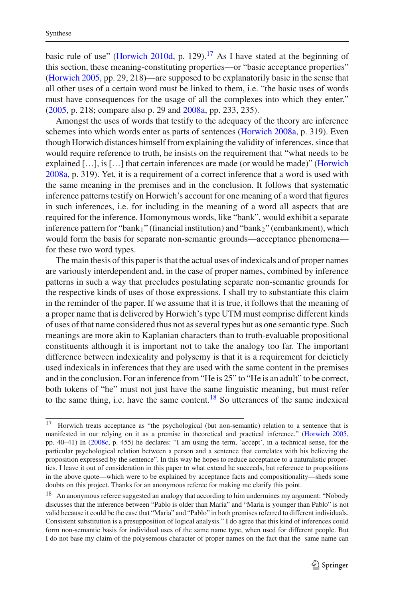basic rule of use" [\(Horwich 2010d](#page-28-10), p. 129).<sup>[17](#page-8-0)</sup> As I have stated at the beginning of this section, these meaning-constituting properties—or "basic acceptance properties" [\(Horwich 2005,](#page-28-4) pp. 29, 218)—are supposed to be explanatorily basic in the sense that all other uses of a certain word must be linked to them, i.e. "the basic uses of words must have consequences for the usage of all the complexes into which they enter." [\(2005,](#page-28-4) p. 218; compare also p. 29 and [2008a](#page-28-8), pp. 233, 235).

Amongst the uses of words that testify to the adequacy of the theory are inference schemes into which words enter as parts of sentences [\(Horwich 2008a,](#page-28-8) p. 319). Even though Horwich distances himself from explaining the validity of inferences, since that would require reference to truth, he insists on the requirement that "what needs to be explained […], is […] that certain inferences are made (or would be made)" [\(Horwich](#page-28-8) [2008a](#page-28-8), p. 319). Yet, it is a requirement of a correct inference that a word is used with the same meaning in the premises and in the conclusion. It follows that systematic inference patterns testify on Horwich's account for one meaning of a word that figures in such inferences, i.e. for including in the meaning of a word all aspects that are required for the inference. Homonymous words, like "bank", would exhibit a separate inference pattern for "bank<sub>1</sub>" (financial institution) and "bank<sub>2</sub>" (embankment), which would form the basis for separate non-semantic grounds—acceptance phenomena for these two word types.

The main thesis of this paper is that the actual uses of indexicals and of proper names are variously interdependent and, in the case of proper names, combined by inference patterns in such a way that precludes postulating separate non-semantic grounds for the respective kinds of uses of those expressions. I shall try to substantiate this claim in the reminder of the paper. If we assume that it is true, it follows that the meaning of a proper name that is delivered by Horwich's type UTM must comprise different kinds of uses of that name considered thus not as several types but as one semantic type. Such meanings are more akin to Kaplanian characters than to truth-evaluable propositional constituents although it is important not to take the analogy too far. The important difference between indexicality and polysemy is that it is a requirement for deicticly used indexicals in inferences that they are used with the same content in the premises and in the conclusion. For an inference from "He is 25" to "He is an adult" to be correct, both tokens of "he" must not just have the same linguistic meaning, but must refer to the same thing, i.e. have the same content.<sup>[18](#page-8-1)</sup> So utterances of the same indexical

<span id="page-8-0"></span><sup>&</sup>lt;sup>17</sup> Horwich treats acceptance as "the psychological (but non-semantic) relation to a sentence that is manifested in our relying on it as a premise in theoretical and practical inference." [\(Horwich 2005](#page-28-4), pp. 40–41) In [\(2008c,](#page-28-11) p. 455) he declares: "I am using the term, 'accept', in a technical sense, for the particular psychological relation between a person and a sentence that correlates with his believing the proposition expressed by the sentence". In this way he hopes to reduce acceptance to a naturalistic properties. I leave it out of consideration in this paper to what extend he succeeds, but reference to propositions in the above quote—which were to be explained by acceptance facts and compositionality—sheds some doubts on this project. Thanks for an anonymous referee for making me clarify this point.

<span id="page-8-1"></span><sup>&</sup>lt;sup>18</sup> An anonymous referee suggested an analogy that according to him undermines my argument: "Nobody discusses that the inference between "Pablo is older than Maria" and "Maria is younger than Pablo" is not valid because it could be the case that "Maria" and "Pablo" in both premises referred to different individuals. Consistent substitution is a presupposition of logical analysis." I do agree that this kind of inferences could form non-semantic basis for individual uses of the same name type, when used for different people. But I do not base my claim of the polysemous character of proper names on the fact that the same name can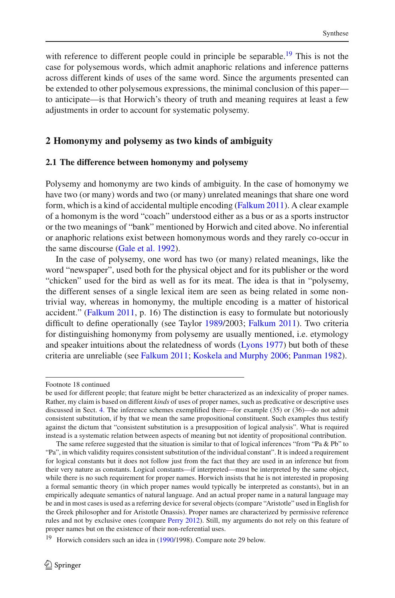with reference to different people could in principle be separable.<sup>19</sup> This is not the case for polysemous words, which admit anaphoric relations and inference patterns across different kinds of uses of the same word. Since the arguments presented can be extended to other polysemous expressions, the minimal conclusion of this paper to anticipate—is that Horwich's theory of truth and meaning requires at least a few adjustments in order to account for systematic polysemy.

## **2 Homonymy and polysemy as two kinds of ambiguity**

### **2.1 The difference between homonymy and polysemy**

Polysemy and homonymy are two kinds of ambiguity. In the case of homonymy we have two (or many) words and two (or many) unrelated meanings that share one word form, which is a kind of accidental multiple encoding [\(Falkum 2011](#page-27-1)). A clear example of a homonym is the word "coach" understood either as a bus or as a sports instructor or the two meanings of "bank" mentioned by Horwich and cited above. No inferential or anaphoric relations exist between homonymous words and they rarely co-occur in the same discourse [\(Gale et al. 1992\)](#page-28-12).

In the case of polysemy, one word has two (or many) related meanings, like the word "newspaper", used both for the physical object and for its publisher or the word "chicken" used for the bird as well as for its meat. The idea is that in "polysemy, the different senses of a single lexical item are seen as being related in some nontrivial way, whereas in homonymy, the multiple encoding is a matter of historical accident." [\(Falkum 2011](#page-27-1), p. 16) The distinction is easy to formulate but notoriously difficult to define operationally (see Taylor [1989/](#page-30-1)2003; [Falkum 2011](#page-27-1)). Two criteria for distinguishing homonymy from polysemy are usually mentioned, i.e. etymology and speaker intuitions about the relatedness of words [\(Lyons 1977](#page-29-2)) but both of these criteria are unreliable (see [Falkum 2011;](#page-27-1) [Koskela and Murphy 2006;](#page-29-3) [Panman 1982\)](#page-29-4).

Footnote 18 continued

be used for different people; that feature might be better characterized as an indexicality of proper names. Rather, my claim is based on different *kinds* of uses of proper names, such as predicative or descriptive uses discussed in Sect. [4.](#page-18-0) The inference schemes exemplified there—for example (35) or (36)—do not admit consistent substitution, if by that we mean the same propositional constituent. Such examples thus testify against the dictum that "consistent substitution is a presupposition of logical analysis". What is required instead is a systematic relation between aspects of meaning but not identity of propositional contribution.

The same referee suggested that the situation is similar to that of logical inferences "from "Pa & Pb" to "Pa", in which validity requires consistent substitution of the individual constant". It is indeed a requirement for logical constants but it does not follow just from the fact that they are used in an inference but from their very nature as constants. Logical constants—if interpreted—must be interpreted by the same object, while there is no such requirement for proper names. Horwich insists that he is not interested in proposing a formal semantic theory (in which proper names would typically be interpreted as constants), but in an empirically adequate semantics of natural language. And an actual proper name in a natural language may be and in most cases is used as a referring device for several objects (compare "Aristotle" used in English for the Greek philosopher and for Aristotle Onassis). Proper names are characterized by permissive reference rules and not by exclusive ones (compare [Perry 2012](#page-29-5)). Still, my arguments do not rely on this feature of proper names but on the existence of their non-referential uses.

<span id="page-9-0"></span><sup>19</sup> Horwich considers such an idea in [\(1990](#page-28-0)/1998). Compare note 29 below.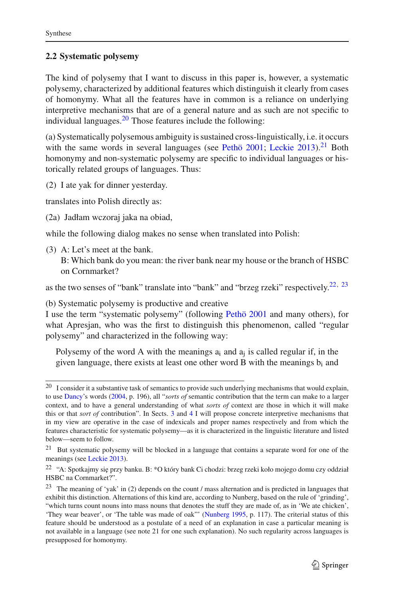## <span id="page-10-4"></span>**2.2 Systematic polysemy**

The kind of polysemy that I want to discuss in this paper is, however, a systematic polysemy, characterized by additional features which distinguish it clearly from cases of homonymy. What all the features have in common is a reliance on underlying interpretive mechanisms that are of a general nature and as such are not specific to individual languages. $^{20}$  $^{20}$  $^{20}$  Those features include the following:

(a) Systematically polysemous ambiguity is sustained cross-linguistically, i.e. it occurs with the same words in several languages (see [Pethö 2001;](#page-29-6) [Leckie 2013\)](#page-29-7).<sup>[21](#page-10-1)</sup> Both homonymy and non-systematic polysemy are specific to individual languages or historically related groups of languages. Thus:

(2) I ate yak for dinner yesterday.

translates into Polish directly as:

(2a) Jadłam wczoraj jaka na obiad,

while the following dialog makes no sense when translated into Polish:

(3) A: Let's meet at the bank.

B: Which bank do you mean: the river bank near my house or the branch of HSBC on Cornmarket?

as the two senses of "bank" translate into "bank" and "brzeg rzeki" respectively.<sup>22, [23](#page-10-3)</sup>

(b) Systematic polysemy is productive and creative

I use the term "systematic polysemy" (following [Pethö 2001](#page-29-6) and many others), for what Apresian, who was the first to distinguish this phenomenon, called "regular polysemy" and characterized in the following way:

Polysemy of the word A with the meanings a<sub>i</sub> and a<sub>i</sub> is called regular if, in the given language, there exists at least one other word B with the meanings  $b_i$  and

<span id="page-10-0"></span> $20$  I consider it a substantive task of semantics to provide such underlying mechanisms that would explain, to use [Dancy](#page-27-2)'s words [\(2004,](#page-27-2) p. 196), all "*sorts of* semantic contribution that the term can make to a larger context, and to have a general understanding of what *sorts of* context are those in which it will make this or that *sort of* contribution". In Sects. [3](#page-13-0) and [4](#page-18-0) I will propose concrete interpretive mechanisms that in my view are operative in the case of indexicals and proper names respectively and from which the features characteristic for systematic polysemy—as it is characterized in the linguistic literature and listed below—seem to follow.

<span id="page-10-1"></span><sup>21</sup> But systematic polysemy will be blocked in a language that contains a separate word for one of the meanings (see [Leckie 2013\)](#page-29-7).

<span id="page-10-2"></span><sup>&</sup>lt;sup>22</sup> "A: Spotkajmy się przy banku. B: \*O który bank Ci chodzi: brzeg rzeki koło mojego domu czy oddział HSBC na Cornmarket?".

<span id="page-10-3"></span><sup>&</sup>lt;sup>23</sup> The meaning of 'yak' in (2) depends on the count / mass alternation and is predicted in languages that exhibit this distinction. Alternations of this kind are, according to Nunberg, based on the rule of 'grinding', "which turns count nouns into mass nouns that denotes the stuff they are made of, as in 'We ate chicken', 'They wear beaver', or 'The table was made of oak"' [\(Nunberg 1995,](#page-29-8) p. 117). The criterial status of this feature should be understood as a postulate of a need of an explanation in case a particular meaning is not available in a language (see note 21 for one such explanation). No such regularity across languages is presupposed for homonymy.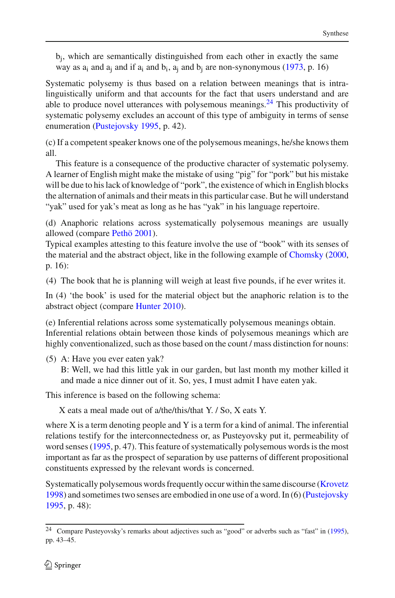$b_i$ , which are semantically distinguished from each other in exactly the same way as  $a_i$  and  $a_i$  and if  $a_i$  and  $b_i$ ,  $a_i$  and  $b_i$  are non-synonymous [\(1973,](#page-27-3) p. 16)

Systematic polysemy is thus based on a relation between meanings that is intralinguistically uniform and that accounts for the fact that users understand and are able to produce novel utterances with polysemous meanings.<sup>24</sup> This productivity of systematic polysemy excludes an account of this type of ambiguity in terms of sense enumeration [\(Pustejovsky 1995,](#page-29-9) p. 42).

(c) If a competent speaker knows one of the polysemous meanings, he/she knows them all.

This feature is a consequence of the productive character of systematic polysemy. A learner of English might make the mistake of using "pig" for "pork" but his mistake will be due to his lack of knowledge of "pork", the existence of which in English blocks the alternation of animals and their meats in this particular case. But he will understand "yak" used for yak's meat as long as he has "yak" in his language repertoire.

(d) Anaphoric relations across systematically polysemous meanings are usually allowed (compare [Pethö 2001\)](#page-29-6).

Typical examples attesting to this feature involve the use of "book" with its senses of the material and the abstract object, like in the following example of [Chomsky](#page-27-4) [\(2000,](#page-27-4) p. 16):

(4) The book that he is planning will weigh at least five pounds, if he ever writes it.

In (4) 'the book' is used for the material object but the anaphoric relation is to the abstract object (compare [Hunter 2010](#page-28-13)).

(e) Inferential relations across some systematically polysemous meanings obtain. Inferential relations obtain between those kinds of polysemous meanings which are highly conventionalized, such as those based on the count / mass distinction for nouns:

(5) A: Have you ever eaten yak?

B: Well, we had this little yak in our garden, but last month my mother killed it and made a nice dinner out of it. So, yes, I must admit I have eaten yak.

This inference is based on the following schema:

X eats a meal made out of a/the/this/that Y. / So, X eats Y.

where  $X$  is a term denoting people and  $Y$  is a term for a kind of animal. The inferential relations testify for the interconnectedness or, as Pusteyovsky put it, permeability of word senses [\(1995](#page-29-9), p. 47). This feature of systematically polysemous words is the most important as far as the prospect of separation by use patterns of different propositional constituents expressed by the relevant words is concerned.

Systematically polysemous words frequently occur within the same discourse [\(Krovetz](#page-29-10) [1998\)](#page-29-10) and sometimes two senses are embodied in one use of a word. In (6) [\(Pustejovsky](#page-29-9) [1995,](#page-29-9) p. 48):

<span id="page-11-0"></span><sup>&</sup>lt;sup>24</sup> Compare Pusteyovsky's remarks about adjectives such as "good" or adverbs such as "fast" in [\(1995](#page-29-9)), pp. 43–45.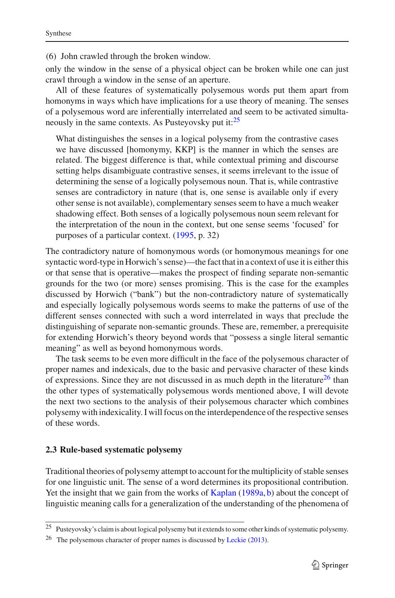(6) John crawled through the broken window.

only the window in the sense of a physical object can be broken while one can just crawl through a window in the sense of an aperture.

All of these features of systematically polysemous words put them apart from homonyms in ways which have implications for a use theory of meaning. The senses of a polysemous word are inferentially interrelated and seem to be activated simultaneously in the same contexts. As Pusteyovsky put it:<sup>25</sup>

What distinguishes the senses in a logical polysemy from the contrastive cases we have discussed [homonymy, KKP] is the manner in which the senses are related. The biggest difference is that, while contextual priming and discourse setting helps disambiguate contrastive senses, it seems irrelevant to the issue of determining the sense of a logically polysemous noun. That is, while contrastive senses are contradictory in nature (that is, one sense is available only if every other sense is not available), complementary senses seem to have a much weaker shadowing effect. Both senses of a logically polysemous noun seem relevant for the interpretation of the noun in the context, but one sense seems 'focused' for purposes of a particular context. [\(1995,](#page-29-9) p. 32)

The contradictory nature of homonymous words (or homonymous meanings for one syntactic word-type in Horwich's sense)—the fact that in a context of use it is either this or that sense that is operative—makes the prospect of finding separate non-semantic grounds for the two (or more) senses promising. This is the case for the examples discussed by Horwich ("bank") but the non-contradictory nature of systematically and especially logically polysemous words seems to make the patterns of use of the different senses connected with such a word interrelated in ways that preclude the distinguishing of separate non-semantic grounds. These are, remember, a prerequisite for extending Horwich's theory beyond words that "possess a single literal semantic meaning" as well as beyond homonymous words.

The task seems to be even more difficult in the face of the polysemous character of proper names and indexicals, due to the basic and pervasive character of these kinds of expressions. Since they are not discussed in as much depth in the literature<sup>26</sup> than the other types of systematically polysemous words mentioned above, I will devote the next two sections to the analysis of their polysemous character which combines polysemy with indexicality. I will focus on the interdependence of the respective senses of these words.

#### **2.3 Rule-based systematic polysemy**

Traditional theories of polysemy attempt to account for the multiplicity of stable senses for one linguistic unit. The sense of a word determines its propositional contribution. Yet the insight that we gain from the works of [Kaplan](#page-28-14) [\(1989a](#page-28-14), [b\)](#page-28-15) about the concept of linguistic meaning calls for a generalization of the understanding of the phenomena of

<sup>&</sup>lt;sup>25</sup> Pusteyovsky's claim is about logical polysemy but it extends to some other kinds of systematic polysemy.

<span id="page-12-1"></span><span id="page-12-0"></span><sup>&</sup>lt;sup>26</sup> The polysemous character of proper names is discussed by [Leckie](#page-29-7)  $(2013)$ .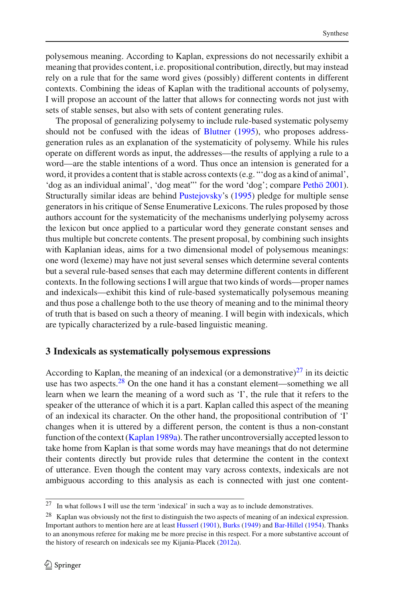polysemous meaning. According to Kaplan, expressions do not necessarily exhibit a meaning that provides content, i.e. propositional contribution, directly, but may instead rely on a rule that for the same word gives (possibly) different contents in different contexts. Combining the ideas of Kaplan with the traditional accounts of polysemy, I will propose an account of the latter that allows for connecting words not just with sets of stable senses, but also with sets of content generating rules.

The proposal of generalizing polysemy to include rule-based systematic polysemy should not be confused with the ideas of [Blutner](#page-27-5) [\(1995](#page-27-5)), who proposes addressgeneration rules as an explanation of the systematicity of polysemy. While his rules operate on different words as input, the addresses—the results of applying a rule to a word—are the stable intentions of a word. Thus once an intension is generated for a word, it provides a content that is stable across contexts (e.g. "'dog as a kind of animal', 'dog as an individual animal', 'dog meat"' for the word 'dog'; compare [Pethö 2001](#page-29-6)). Structurally similar ideas are behind [Pustejovsky](#page-29-9)'s [\(1995](#page-29-9)) pledge for multiple sense generators in his critique of Sense Enumerative Lexicons. The rules proposed by those authors account for the systematicity of the mechanisms underlying polysemy across the lexicon but once applied to a particular word they generate constant senses and thus multiple but concrete contents. The present proposal, by combining such insights with Kaplanian ideas, aims for a two dimensional model of polysemous meanings: one word (lexeme) may have not just several senses which determine several contents but a several rule-based senses that each may determine different contents in different contexts. In the following sections I will argue that two kinds of words—proper names and indexicals—exhibit this kind of rule-based systematically polysemous meaning and thus pose a challenge both to the use theory of meaning and to the minimal theory of truth that is based on such a theory of meaning. I will begin with indexicals, which are typically characterized by a rule-based linguistic meaning.

### <span id="page-13-0"></span>**3 Indexicals as systematically polysemous expressions**

According to Kaplan, the meaning of an indexical (or a demonstrative) $27$  in its deictic use has two aspects. $28$  On the one hand it has a constant element—something we all learn when we learn the meaning of a word such as 'I', the rule that it refers to the speaker of the utterance of which it is a part. Kaplan called this aspect of the meaning of an indexical its character. On the other hand, the propositional contribution of 'I' changes when it is uttered by a different person, the content is thus a non-constant function of the context [\(Kaplan 1989a](#page-28-14)). The rather uncontroversially accepted lesson to take home from Kaplan is that some words may have meanings that do not determine their contents directly but provide rules that determine the content in the context of utterance. Even though the content may vary across contexts, indexicals are not ambiguous according to this analysis as each is connected with just one content-

 $27$  In what follows I will use the term 'indexical' in such a way as to include demonstratives.

<span id="page-13-2"></span><span id="page-13-1"></span><sup>&</sup>lt;sup>28</sup> Kaplan was obviously not the first to distinguish the two aspects of meaning of an indexical expression. Important authors to mention here are at least [Husserl](#page-28-16) [\(1901\)](#page-28-16), [Burks](#page-27-6) [\(1949\)](#page-27-6) and [Bar-Hillel](#page-27-7) [\(1954](#page-27-7)). Thanks to an anonymous referee for making me be more precise in this respect. For a more substantive account of the history of research on indexicals see my Kijania-Placek [\(2012a\)](#page-28-17).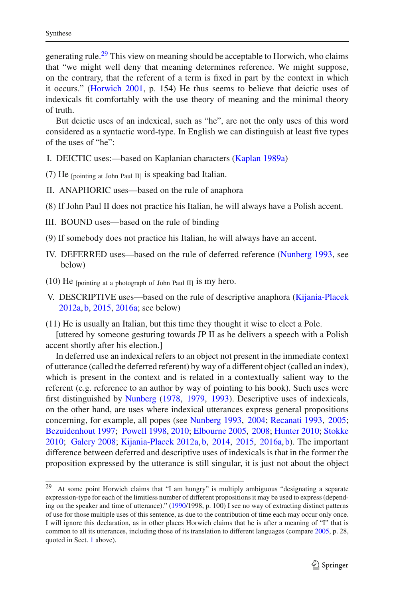generating rule.<sup>[29](#page-14-0)</sup> This view on meaning should be acceptable to Horwich, who claims that "we might well deny that meaning determines reference. We might suppose, on the contrary, that the referent of a term is fixed in part by the context in which it occurs." [\(Horwich 2001](#page-28-2), p. 154) He thus seems to believe that deictic uses of indexicals fit comfortably with the use theory of meaning and the minimal theory of truth.

But deictic uses of an indexical, such as "he", are not the only uses of this word considered as a syntactic word-type. In English we can distinguish at least five types of the uses of "he":

- I. DEICTIC uses:—based on Kaplanian characters [\(Kaplan 1989a](#page-28-14))
- (7) He [pointing at John Paul II] is speaking bad Italian.
- II. ANAPHORIC uses—based on the rule of anaphora
- (8) If John Paul II does not practice his Italian, he will always have a Polish accent.
- III. BOUND uses—based on the rule of binding
- (9) If somebody does not practice his Italian, he will always have an accent.
- IV. DEFERRED uses—based on the rule of deferred reference [\(Nunberg 1993,](#page-29-11) see below)
- $(10)$  He [pointing at a photograph of John Paul II] is my hero.
- V. DESCRIPTIVE uses—based on the rule of descriptive anaphora [\(Kijania-Placek](#page-28-17) [2012a](#page-28-17), [b,](#page-28-18) [2015,](#page-28-19) [2016a](#page-28-20); see below)

(11) He is usually an Italian, but this time they thought it wise to elect a Pole.

[uttered by someone gesturing towards JP II as he delivers a speech with a Polish accent shortly after his election.]

In deferred use an indexical refers to an object not present in the immediate context of utterance (called the deferred referent) by way of a different object (called an index), which is present in the context and is related in a contextually salient way to the referent (e.g. reference to an author by way of pointing to his book). Such uses were first distinguished by [Nunberg](#page-29-12) [\(1978,](#page-29-12) [1979,](#page-29-13) [1993\)](#page-29-11). Descriptive uses of indexicals, on the other hand, are uses where indexical utterances express general propositions concerning, for example, all popes (see [Nunberg 1993,](#page-29-11) [2004](#page-29-14); [Recanati 1993,](#page-29-15) [2005](#page-29-16); [Bezuidenhout 1997](#page-27-8); [Powell 1998,](#page-29-17) [2010](#page-29-18); [Elbourne 2005](#page-27-9), [2008](#page-27-10); [Hunter 2010](#page-28-13); [Stokke](#page-29-19) [2010;](#page-29-19) [Galery 2008;](#page-28-21) [Kijania-Placek 2012a,](#page-28-17) [b,](#page-28-18) [2014](#page-28-22), [2015,](#page-28-19) [2016a,](#page-28-20) [b](#page-28-23)). The important difference between deferred and descriptive uses of indexicals is that in the former the proposition expressed by the utterance is still singular, it is just not about the object

<span id="page-14-0"></span><sup>29</sup> At some point Horwich claims that "I am hungry" is multiply ambiguous "designating a separate expression-type for each of the limitless number of different propositions it may be used to express (depending on the speaker and time of utterance)." [\(1990/](#page-28-0)1998, p. 100) I see no way of extracting distinct patterns of use for those multiple uses of this sentence, as due to the contribution of time each may occur only once. I will ignore this declaration, as in other places Horwich claims that he is after a meaning of "I" that is common to all its utterances, including those of its translation to different languages (compare [2005](#page-28-4), p. 28, quoted in Sect. [1](#page-0-0) above).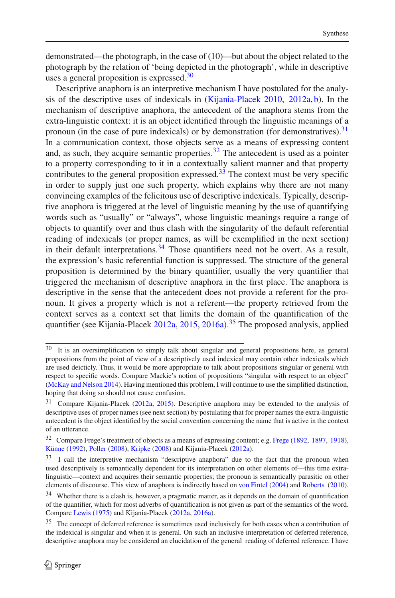demonstrated—the photograph, in the case of (10)—but about the object related to the photograph by the relation of 'being depicted in the photograph', while in descriptive uses a general proposition is expressed. $30$ 

Descriptive anaphora is an interpretive mechanism I have postulated for the analysis of the descriptive uses of indexicals in [\(Kijania-Placek 2010,](#page-28-24) [2012a,](#page-28-17) [b](#page-28-18)). In the mechanism of descriptive anaphora, the antecedent of the anaphora stems from the extra-linguistic context: it is an object identified through the linguistic meanings of a pronoun (in the case of pure indexicals) or by demonstration (for demonstratives).  $31$ In a communication context, those objects serve as a means of expressing content and, as such, they acquire semantic properties.  $32$  The antecedent is used as a pointer to a property corresponding to it in a contextually salient manner and that property contributes to the general proposition expressed.<sup>[33](#page-15-3)</sup> The context must be very specific in order to supply just one such property, which explains why there are not many convincing examples of the felicitous use of descriptive indexicals. Typically, descriptive anaphora is triggered at the level of linguistic meaning by the use of quantifying words such as "usually" or "always", whose linguistic meanings require a range of objects to quantify over and thus clash with the singularity of the default referential reading of indexicals (or proper names, as will be exemplified in the next section) in their default interpretations.  $34$  Those quantifiers need not be overt. As a result, the expression's basic referential function is suppressed. The structure of the general proposition is determined by the binary quantifier, usually the very quantifier that triggered the mechanism of descriptive anaphora in the first place. The anaphora is descriptive in the sense that the antecedent does not provide a referent for the pronoun. It gives a property which is not a referent—the property retrieved from the context serves as a context set that limits the domain of the quantification of the quantifier (see Kijania-Placek [2012a](#page-28-17), [2015](#page-28-19), [2016a](#page-28-20)).<sup>[35](#page-15-5)</sup> The proposed analysis, applied

<span id="page-15-0"></span><sup>&</sup>lt;sup>30</sup> It is an oversimplification to simply talk about singular and general propositions here, as general propositions from the point of view of a descriptively used indexical may contain other indexicals which are used deicticly. Thus, it would be more appropriate to talk about propositions singular or general with respect to specific words. Compare Mackie's notion of propositions "singular with respect to an object" [\(McKay and Nelson 2014\)](#page-29-20). Having mentioned this problem, I will continue to use the simplified distinction, hoping that doing so should not cause confusion.

<span id="page-15-1"></span><sup>31</sup> Compare Kijania-Placek [\(2012a](#page-28-17), [2015\)](#page-28-19). Descriptive anaphora may be extended to the analysis of descriptive uses of proper names (see next section) by postulating that for proper names the extra-linguistic antecedent is the object identified by the social convention concerning the name that is active in the context of an utterance.

<span id="page-15-2"></span><sup>&</sup>lt;sup>32</sup> Compare [Frege](#page-28-25)'s treatment of objects as a means of expressing content; e.g. Frege [\(1892](#page-28-25), [1897,](#page-28-26) [1918](#page-28-27)), [Künne](#page-29-21) [\(1992\)](#page-29-21), [Poller](#page-29-22) [\(2008\)](#page-29-22), [Kripke](#page-29-23) [\(2008](#page-29-23)) and Kijania-Placek [\(2012a\)](#page-28-17).

<span id="page-15-3"></span><sup>&</sup>lt;sup>33</sup> I call the interpretive mechanism "descriptive anaphora" due to the fact that the pronoun when used descriptively is semantically dependent for its interpretation on other elements of—this time extralinguistic—context and acquires their semantic properties; the pronoun is semantically parasitic on other elements of discourse. This view of anaphora is indirectly based on [von Fintel](#page-30-2) [\(2004](#page-30-2)) and [Roberts](#page-29-24) [\(2010](#page-29-24)).

<span id="page-15-4"></span><sup>&</sup>lt;sup>34</sup> Whether there is a clash is, however, a pragmatic matter, as it depends on the domain of quantification of the quantifier, which for most adverbs of quantification is not given as part of the semantics of the word. Compare [Lewis](#page-29-25) [\(1975\)](#page-29-25) and Kijania-Placek [\(2012a](#page-28-17), [2016a\)](#page-28-20).

<span id="page-15-5"></span><sup>&</sup>lt;sup>35</sup> The concept of deferred reference is sometimes used inclusively for both cases when a contribution of the indexical is singular and when it is general. On such an inclusive interpretation of deferred reference, descriptive anaphora may be considered an elucidation of the general reading of deferred reference. I have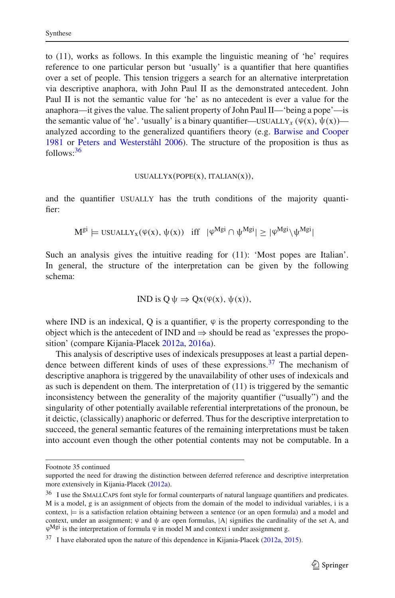to (11), works as follows. In this example the linguistic meaning of 'he' requires reference to one particular person but 'usually' is a quantifier that here quantifies over a set of people. This tension triggers a search for an alternative interpretation via descriptive anaphora, with John Paul II as the demonstrated antecedent. John Paul II is not the semantic value for 'he' as no antecedent is ever a value for the anaphora—it gives the value. The salient property of John Paul II—'being a pope'—is the semantic value of 'he'. 'usually' is a binary quantifier—usually<sub>x</sub> ( $\varphi(x)$ ,  $\psi(x)$ ) analyzed according to the generalized quantifiers theory (e.g. [Barwise and Cooper](#page-27-11) [1981](#page-27-11) or [Peters and Westerståhl 2006](#page-29-26)). The structure of the proposition is thus as follows:[36](#page-16-0)

#### $USUALYX(POPE(X), ITALIAN(X)),$

and the quantifier USUALLY has the truth conditions of the majority quantifier:

$$
M^{gi} \models \text{USUALLY}_x(\varphi(x), \psi(x)) \quad \text{iff} \quad |\varphi^{Mgi} \cap \psi^{Mgi}| \ge |\varphi^{Mgi} \setminus \psi^{Mgi}|
$$

Such an analysis gives the intuitive reading for (11): 'Most popes are Italian'. In general, the structure of the interpretation can be given by the following schema:

IND is 
$$
Q \psi \Rightarrow Qx(\varphi(x), \psi(x)),
$$

where IND is an indexical, Q is a quantifier,  $\varphi$  is the property corresponding to the object which is the antecedent of IND and  $\Rightarrow$  should be read as 'expresses the proposition' (compare Kijania-Placek [2012a,](#page-28-17) [2016a](#page-28-20)).

This analysis of descriptive uses of indexicals presupposes at least a partial depen-dence between different kinds of uses of these expressions.<sup>[37](#page-16-1)</sup> The mechanism of descriptive anaphora is triggered by the unavailability of other uses of indexicals and as such is dependent on them. The interpretation of (11) is triggered by the semantic inconsistency between the generality of the majority quantifier ("usually") and the singularity of other potentially available referential interpretations of the pronoun, be it deictic, (classically) anaphoric or deferred. Thus for the descriptive interpretation to succeed, the general semantic features of the remaining interpretations must be taken into account even though the other potential contents may not be computable. In a

Footnote 35 continued

supported the need for drawing the distinction between deferred reference and descriptive interpretation more extensively in Kijania-Placek [\(2012a\)](#page-28-17).

<span id="page-16-0"></span><sup>&</sup>lt;sup>36</sup> I use the SMALLCAPS font style for formal counterparts of natural language quantifiers and predicates. M is a model, g is an assignment of objects from the domain of the model to individual variables, i is a context,  $\models$  is a satisfaction relation obtaining between a sentence (or an open formula) and a model and context, under an assignment;  $\varphi$  and  $\psi$  are open formulas, |A| signifies the cardinality of the set A, and  $\varphi^{\text{Mgi}}$  is the interpretation of formula  $\varphi$  in model M and context i under assignment g.

<span id="page-16-1"></span><sup>&</sup>lt;sup>37</sup> I have elaborated upon the nature of this dependence in Kijania-Placek [\(2012a,](#page-28-17) [2015\)](#page-28-19).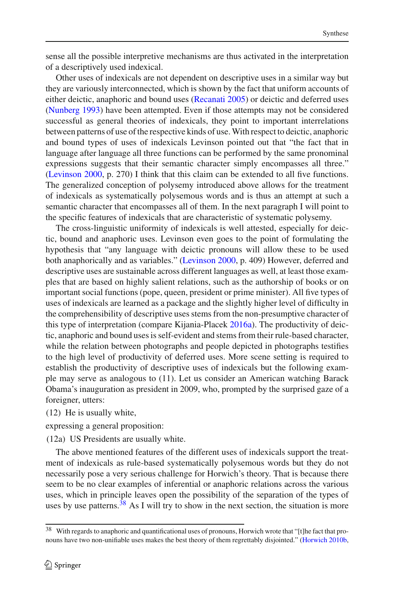sense all the possible interpretive mechanisms are thus activated in the interpretation of a descriptively used indexical.

Other uses of indexicals are not dependent on descriptive uses in a similar way but they are variously interconnected, which is shown by the fact that uniform accounts of either deictic, anaphoric and bound uses [\(Recanati 2005](#page-29-16)) or deictic and deferred uses [\(Nunberg 1993](#page-29-11)) have been attempted. Even if those attempts may not be considered successful as general theories of indexicals, they point to important interrelations between patterns of use of the respective kinds of use.With respect to deictic, anaphoric and bound types of uses of indexicals Levinson pointed out that "the fact that in language after language all three functions can be performed by the same pronominal expressions suggests that their semantic character simply encompasses all three." [\(Levinson 2000,](#page-29-27) p. 270) I think that this claim can be extended to all five functions. The generalized conception of polysemy introduced above allows for the treatment of indexicals as systematically polysemous words and is thus an attempt at such a semantic character that encompasses all of them. In the next paragraph I will point to the specific features of indexicals that are characteristic of systematic polysemy.

The cross-linguistic uniformity of indexicals is well attested, especially for deictic, bound and anaphoric uses. Levinson even goes to the point of formulating the hypothesis that "any language with deictic pronouns will allow these to be used both anaphorically and as variables." [\(Levinson 2000](#page-29-27), p. 409) However, deferred and descriptive uses are sustainable across different languages as well, at least those examples that are based on highly salient relations, such as the authorship of books or on important social functions (pope, queen, president or prime minister). All five types of uses of indexicals are learned as a package and the slightly higher level of difficulty in the comprehensibility of descriptive uses stems from the non-presumptive character of this type of interpretation (compare Kijania-Placek [2016a](#page-28-20)). The productivity of deictic, anaphoric and bound uses is self-evident and stems from their rule-based character, while the relation between photographs and people depicted in photographs testifies to the high level of productivity of deferred uses. More scene setting is required to establish the productivity of descriptive uses of indexicals but the following example may serve as analogous to (11). Let us consider an American watching Barack Obama's inauguration as president in 2009, who, prompted by the surprised gaze of a foreigner, utters:

(12) He is usually white,

expressing a general proposition:

(12a) US Presidents are usually white.

The above mentioned features of the different uses of indexicals support the treatment of indexicals as rule-based systematically polysemous words but they do not necessarily pose a very serious challenge for Horwich's theory. That is because there seem to be no clear examples of inferential or anaphoric relations across the various uses, which in principle leaves open the possibility of the separation of the types of uses by use patterns.  $38$  As I will try to show in the next section, the situation is more

<span id="page-17-0"></span><sup>&</sup>lt;sup>38</sup> With regards to anaphoric and quantificational uses of pronouns, Horwich wrote that "[t]he fact that pronouns have two non-unifiable uses makes the best theory of them regrettably disjointed." [\(Horwich 2010b](#page-28-1),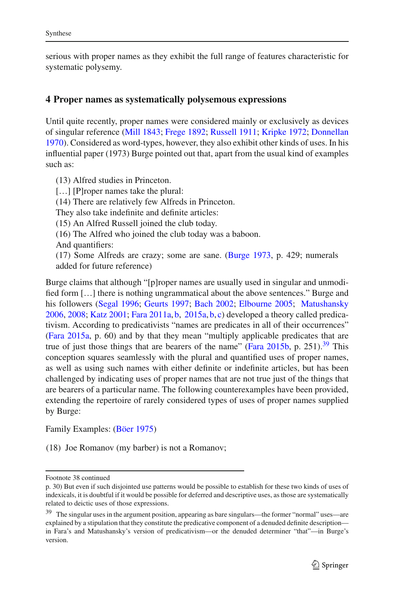serious with proper names as they exhibit the full range of features characteristic for systematic polysemy.

## <span id="page-18-0"></span>**4 Proper names as systematically polysemous expressions**

Until quite recently, proper names were considered mainly or exclusively as devices of singular reference [\(Mill 1843;](#page-29-28) [Frege 1892;](#page-28-25) [Russell 1911;](#page-29-29) [Kripke 1972](#page-29-0); [Donnellan](#page-27-12) [1970\)](#page-27-12). Considered as word-types, however, they also exhibit other kinds of uses. In his influential paper (1973) Burge pointed out that, apart from the usual kind of examples such as:

(13) Alfred studies in Princeton. [...] [P]roper names take the plural: (14) There are relatively few Alfreds in Princeton. They also take indefinite and definite articles: (15) An Alfred Russell joined the club today. (16) The Alfred who joined the club today was a baboon. And quantifiers: (17) Some Alfreds are crazy; some are sane. [\(Burge 1973,](#page-27-13) p. 429; numerals added for future reference)

Burge claims that although "[p]roper names are usually used in singular and unmodified form […] there is nothing ungrammatical about the above sentences." Burge and his followers [\(Segal 1996;](#page-29-30) [Geurts 1997](#page-28-28); [Bach 2002](#page-27-14); [Elbourne 2005;](#page-27-9) [Matushansky](#page-29-31) [2006,](#page-29-31) [2008](#page-29-32); [Katz 2001](#page-28-29); [Fara 2011a](#page-27-15), [b](#page-27-16), [2015a,](#page-27-17) [b](#page-27-18), [c\)](#page-27-19) developed a theory called predicativism. According to predicativists "names are predicates in all of their occurrences" [\(Fara 2015a](#page-27-17), p. 60) and by that they mean "multiply applicable predicates that are true of just those things that are bearers of the name" (Fara  $2015b$ , p. 251).<sup>39</sup> This conception squares seamlessly with the plural and quantified uses of proper names, as well as using such names with either definite or indefinite articles, but has been challenged by indicating uses of proper names that are not true just of the things that are bearers of a particular name. The following counterexamples have been provided, extending the repertoire of rarely considered types of uses of proper names supplied by Burge:

Family Examples: [\(Böer 1975\)](#page-27-20)

(18) Joe Romanov (my barber) is not a Romanov;

Footnote 38 continued

p. 30) But even if such disjointed use patterns would be possible to establish for these two kinds of uses of indexicals, it is doubtful if it would be possible for deferred and descriptive uses, as those are systematically related to deictic uses of those expressions.

<span id="page-18-1"></span><sup>&</sup>lt;sup>39</sup> The singular uses in the argument position, appearing as bare singulars—the former "normal" uses—are explained by a stipulation that they constitute the predicative component of a denuded definite description in Fara's and Matushansky's version of predicativism—or the denuded determiner "that"—in Burge's version.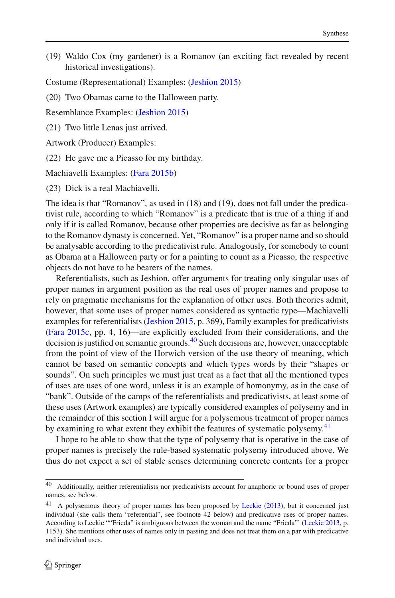(19) Waldo Cox (my gardener) is a Romanov (an exciting fact revealed by recent historical investigations).

Costume (Representational) Examples: [\(Jeshion 2015\)](#page-28-30)

(20) Two Obamas came to the Halloween party.

Resemblance Examples: [\(Jeshion 2015\)](#page-28-30)

(21) Two little Lenas just arrived.

Artwork (Producer) Examples:

(22) He gave me a Picasso for my birthday.

Machiavelli Examples: [\(Fara 2015b](#page-27-18))

(23) Dick is a real Machiavelli.

The idea is that "Romanov", as used in (18) and (19), does not fall under the predicativist rule, according to which "Romanov" is a predicate that is true of a thing if and only if it is called Romanov, because other properties are decisive as far as belonging to the Romanov dynasty is concerned. Yet, "Romanov" is a proper name and so should be analysable according to the predicativist rule. Analogously, for somebody to count as Obama at a Halloween party or for a painting to count as a Picasso, the respective objects do not have to be bearers of the names.

Referentialists, such as Jeshion, offer arguments for treating only singular uses of proper names in argument position as the real uses of proper names and propose to rely on pragmatic mechanisms for the explanation of other uses. Both theories admit, however, that some uses of proper names considered as syntactic type—Machiavelli examples for referentialists [\(Jeshion 2015](#page-28-30), p. 369), Family examples for predicativists [\(Fara 2015c](#page-27-19), pp. 4, 16)—are explicitly excluded from their considerations, and the decision is justified on semantic grounds.<sup>[40](#page-19-0)</sup> Such decisions are, however, unacceptable from the point of view of the Horwich version of the use theory of meaning, which cannot be based on semantic concepts and which types words by their "shapes or sounds". On such principles we must just treat as a fact that all the mentioned types of uses are uses of one word, unless it is an example of homonymy, as in the case of "bank". Outside of the camps of the referentialists and predicativists, at least some of these uses (Artwork examples) are typically considered examples of polysemy and in the remainder of this section I will argue for a polysemous treatment of proper names by examining to what extent they exhibit the features of systematic polysemy.<sup>[41](#page-19-1)</sup>

I hope to be able to show that the type of polysemy that is operative in the case of proper names is precisely the rule-based systematic polysemy introduced above. We thus do not expect a set of stable senses determining concrete contents for a proper

<span id="page-19-0"></span><sup>&</sup>lt;sup>40</sup> Additionally, neither referentialists nor predicativists account for anaphoric or bound uses of proper names, see below.

<span id="page-19-1"></span><sup>&</sup>lt;sup>41</sup> A polysemous theory of proper names has been proposed by [Leckie](#page-29-7) [\(2013\)](#page-29-7), but it concerned just individual (she calls them "referential", see footnote 42 below) and predicative uses of proper names. According to Leckie ""Frieda" is ambiguous between the woman and the name "Frieda"' [\(Leckie 2013](#page-29-7), p. 1153). She mentions other uses of names only in passing and does not treat them on a par with predicative and individual uses.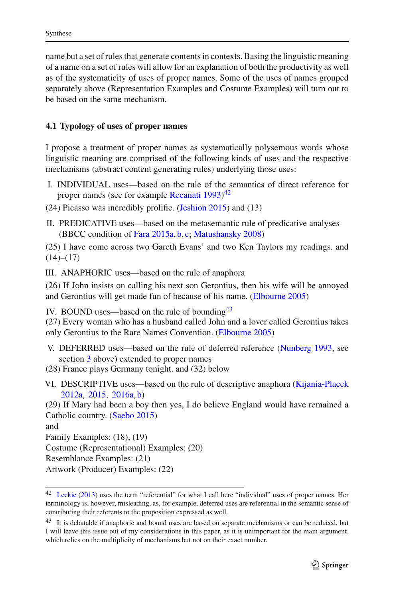name but a set of rules that generate contents in contexts. Basing the linguistic meaning of a name on a set of rules will allow for an explanation of both the productivity as well as of the systematicity of uses of proper names. Some of the uses of names grouped separately above (Representation Examples and Costume Examples) will turn out to be based on the same mechanism.

### **4.1 Typology of uses of proper names**

I propose a treatment of proper names as systematically polysemous words whose linguistic meaning are comprised of the following kinds of uses and the respective mechanisms (abstract content generating rules) underlying those uses:

- I. INDIVIDUAL uses—based on the rule of the semantics of direct reference for proper names (see for example [Recanati 1993](#page-29-15))<sup>[42](#page-20-0)</sup>
- (24) Picasso was incredibly prolific. [\(Jeshion 2015](#page-28-30)) and (13)
- II. PREDICATIVE uses—based on the metasemantic rule of predicative analyses (BBCC condition of [Fara 2015a](#page-27-17), [b](#page-27-18), [c](#page-27-19); [Matushansky 2008\)](#page-29-32)

(25) I have come across two Gareth Evans' and two Ken Taylors my readings. and  $(14)–(17)$ 

III. ANAPHORIC uses—based on the rule of anaphora

(26) If John insists on calling his next son Gerontius, then his wife will be annoyed and Gerontius will get made fun of because of his name. [\(Elbourne 2005](#page-27-9))

IV. BOUND uses—based on the rule of bounding  $43$ 

(27) Every woman who has a husband called John and a lover called Gerontius takes only Gerontius to the Rare Names Convention. [\(Elbourne 2005](#page-27-9))

V. DEFERRED uses—based on the rule of deferred reference [\(Nunberg 1993,](#page-29-11) see section [3](#page-13-0) above) extended to proper names

(28) France plays Germany tonight. and (32) below

VI. DESCRIPTIVE uses—based on the rule of descriptive anaphora [\(Kijania-Placek](#page-28-17) [2012a](#page-28-17), [2015](#page-28-19), [2016a,](#page-28-20) [b\)](#page-28-23)

(29) If Mary had been a boy then yes, I do believe England would have remained a Catholic country. [\(Saebo 2015\)](#page-29-33)

and

Family Examples: (18), (19)

Costume (Representational) Examples: (20)

Resemblance Examples: (21)

Artwork (Producer) Examples: (22)

<span id="page-20-0"></span><sup>&</sup>lt;sup>42</sup> [Leckie](#page-29-7) [\(2013\)](#page-29-7) uses the term "referential" for what I call here "individual" uses of proper names. Her terminology is, however, misleading, as, for example, deferred uses are referential in the semantic sense of contributing their referents to the proposition expressed as well.

<span id="page-20-1"></span><sup>&</sup>lt;sup>43</sup> It is debatable if anaphoric and bound uses are based on separate mechanisms or can be reduced, but I will leave this issue out of my considerations in this paper, as it is unimportant for the main argument, which relies on the multiplicity of mechanisms but not on their exact number.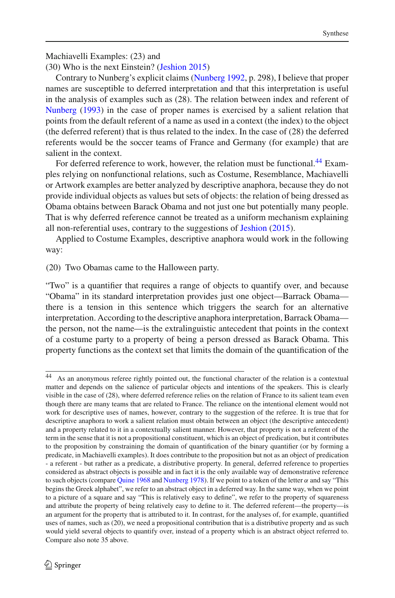#### Machiavelli Examples: (23) and

(30) Who is the next Einstein? [\(Jeshion 2015](#page-28-30))

Contrary to Nunberg's explicit claims [\(Nunberg 1992](#page-29-34), p. 298), I believe that proper names are susceptible to deferred interpretation and that this interpretation is useful in the analysis of examples such as (28). The relation between index and referent of [Nunberg](#page-29-11) [\(1993](#page-29-11)) in the case of proper names is exercised by a salient relation that points from the default referent of a name as used in a context (the index) to the object (the deferred referent) that is thus related to the index. In the case of (28) the deferred referents would be the soccer teams of France and Germany (for example) that are salient in the context.

For deferred reference to work, however, the relation must be functional.<sup>44</sup> Examples relying on nonfunctional relations, such as Costume, Resemblance, Machiavelli or Artwork examples are better analyzed by descriptive anaphora, because they do not provide individual objects as values but sets of objects: the relation of being dressed as Obama obtains between Barack Obama and not just one but potentially many people. That is why deferred reference cannot be treated as a uniform mechanism explaining all non-referential uses, contrary to the suggestions of [Jeshion](#page-28-30) [\(2015\)](#page-28-30).

Applied to Costume Examples, descriptive anaphora would work in the following way:

(20) Two Obamas came to the Halloween party.

"Two" is a quantifier that requires a range of objects to quantify over, and because "Obama" in its standard interpretation provides just one object—Barrack Obama there is a tension in this sentence which triggers the search for an alternative interpretation. According to the descriptive anaphora interpretation, Barrack Obama the person, not the name—is the extralinguistic antecedent that points in the context of a costume party to a property of being a person dressed as Barack Obama. This property functions as the context set that limits the domain of the quantification of the

<span id="page-21-0"></span><sup>44</sup> As an anonymous referee rightly pointed out, the functional character of the relation is a contextual matter and depends on the salience of particular objects and intentions of the speakers. This is clearly visible in the case of (28), where deferred reference relies on the relation of France to its salient team even though there are many teams that are related to France. The reliance on the intentional element would not work for descriptive uses of names, however, contrary to the suggestion of the referee. It is true that for descriptive anaphora to work a salient relation must obtain between an object (the descriptive antecedent) and a property related to it in a contextually salient manner. However, that property is not a referent of the term in the sense that it is not a propositional constituent, which is an object of predication, but it contributes to the proposition by constraining the domain of quantification of the binary quantifier (or by forming a predicate, in Machiavelli examples). It does contribute to the proposition but not as an object of predication - a referent - but rather as a predicate, a distributive property. In general, deferred reference to properties considered as abstract objects is possible and in fact it is the only available way of demonstrative reference to such objects (compare [Quine 1968](#page-29-35) and [Nunberg 1978](#page-29-12)). If we point to a token of the letter  $\alpha$  and say "This begins the Greek alphabet", we refer to an abstract object in a deferred way. In the same way, when we point to a picture of a square and say "This is relatively easy to define", we refer to the property of squareness and attribute the property of being relatively easy to define to it. The deferred referent—the property—is an argument for the property that is attributed to it. In contrast, for the analyses of, for example, quantified uses of names, such as (20), we need a propositional contribution that is a distributive property and as such would yield several objects to quantify over, instead of a property which is an abstract object referred to. Compare also note 35 above.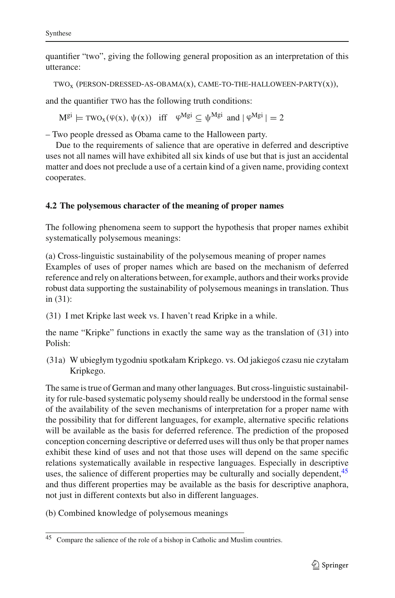quantifier "two", giving the following general proposition as an interpretation of this utterance:

 $TWO<sub>x</sub>$  (PERSON-DRESSED-AS-OBAMA(x), CAME-TO-THE-HALLOWEEN-PARTY(x)),

and the quantifier TWO has the following truth conditions:

 $M^{gi} \models \text{TWO}_x(\varphi(x), \psi(x))$  iff  $\varphi^{Mgi} \subset \psi^{Mgi}$  and  $|\varphi^{Mgi}| = 2$ 

– Two people dressed as Obama came to the Halloween party.

Due to the requirements of salience that are operative in deferred and descriptive uses not all names will have exhibited all six kinds of use but that is just an accidental matter and does not preclude a use of a certain kind of a given name, providing context cooperates.

## **4.2 The polysemous character of the meaning of proper names**

The following phenomena seem to support the hypothesis that proper names exhibit systematically polysemous meanings:

(a) Cross-linguistic sustainability of the polysemous meaning of proper names Examples of uses of proper names which are based on the mechanism of deferred reference and rely on alterations between, for example, authors and their works provide robust data supporting the sustainability of polysemous meanings in translation. Thus in (31):

(31) I met Kripke last week vs. I haven't read Kripke in a while.

the name "Kripke" functions in exactly the same way as the translation of (31) into Polish:

(31a) W ubiegłym tygodniu spotkałam Kripkego. vs. Od jakiego´s czasu nie czytałam Kripkego.

The same is true of German and many other languages. But cross-linguistic sustainability for rule-based systematic polysemy should really be understood in the formal sense of the availability of the seven mechanisms of interpretation for a proper name with the possibility that for different languages, for example, alternative specific relations will be available as the basis for deferred reference. The prediction of the proposed conception concerning descriptive or deferred uses will thus only be that proper names exhibit these kind of uses and not that those uses will depend on the same specific relations systematically available in respective languages. Especially in descriptive uses, the salience of different properties may be culturally and socially dependent,<sup>[45](#page-22-0)</sup> and thus different properties may be available as the basis for descriptive anaphora, not just in different contexts but also in different languages.

(b) Combined knowledge of polysemous meanings

<span id="page-22-0"></span><sup>45</sup> Compare the salience of the role of a bishop in Catholic and Muslim countries.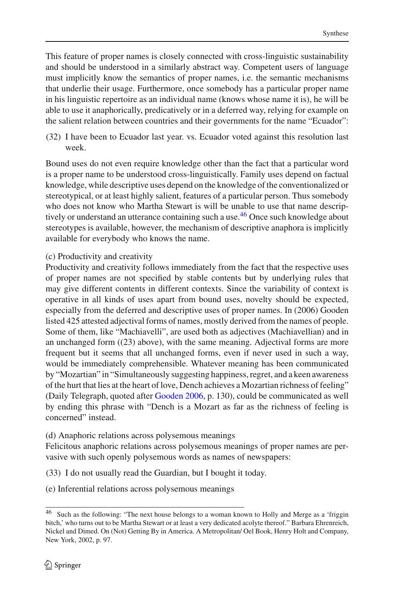This feature of proper names is closely connected with cross-linguistic sustainability and should be understood in a similarly abstract way. Competent users of language must implicitly know the semantics of proper names, i.e. the semantic mechanisms that underlie their usage. Furthermore, once somebody has a particular proper name in his linguistic repertoire as an individual name (knows whose name it is), he will be able to use it anaphorically, predicatively or in a deferred way, relying for example on the salient relation between countries and their governments for the name "Ecuador":

(32) I have been to Ecuador last year. vs. Ecuador voted against this resolution last week.

Bound uses do not even require knowledge other than the fact that a particular word is a proper name to be understood cross-linguistically. Family uses depend on factual knowledge, while descriptive uses depend on the knowledge of the conventionalized or stereotypical, or at least highly salient, features of a particular person. Thus somebody who does not know who Martha Stewart is will be unable to use that name descrip-tively or understand an utterance containing such a use.<sup>[46](#page-23-0)</sup> Once such knowledge about stereotypes is available, however, the mechanism of descriptive anaphora is implicitly available for everybody who knows the name.

### (c) Productivity and creativity

Productivity and creativity follows immediately from the fact that the respective uses of proper names are not specified by stable contents but by underlying rules that may give different contents in different contexts. Since the variability of context is operative in all kinds of uses apart from bound uses, novelty should be expected, especially from the deferred and descriptive uses of proper names. In (2006) Gooden listed 425 attested adjectival forms of names, mostly derived from the names of people. Some of them, like "Machiavelli", are used both as adjectives (Machiavellian) and in an unchanged form  $((23)$  above), with the same meaning. Adjectival forms are more frequent but it seems that all unchanged forms, even if never used in such a way, would be immediately comprehensible. Whatever meaning has been communicated by "Mozartian" in "Simultaneously suggesting happiness, regret, and a keen awareness of the hurt that lies at the heart of love, Dench achieves a Mozartian richness of feeling" (Daily Telegraph, quoted after [Gooden 2006](#page-28-31), p. 130), could be communicated as well by ending this phrase with "Dench is a Mozart as far as the richness of feeling is concerned" instead.

(d) Anaphoric relations across polysemous meanings

Felicitous anaphoric relations across polysemous meanings of proper names are pervasive with such openly polysemous words as names of newspapers:

(33) I do not usually read the Guardian, but I bought it today.

(e) Inferential relations across polysemous meanings

<span id="page-23-0"></span><sup>&</sup>lt;sup>46</sup> Such as the following: "The next house belongs to a woman known to Holly and Merge as a 'friggin bitch,' who turns out to be Martha Stewart or at least a very dedicated acolyte thereof." Barbara Ehrenreich, Nickel and Dimed. On (Not) Getting By in America. A Metropolitan/ Oel Book, Henry Holt and Company, New York, 2002, p. 97.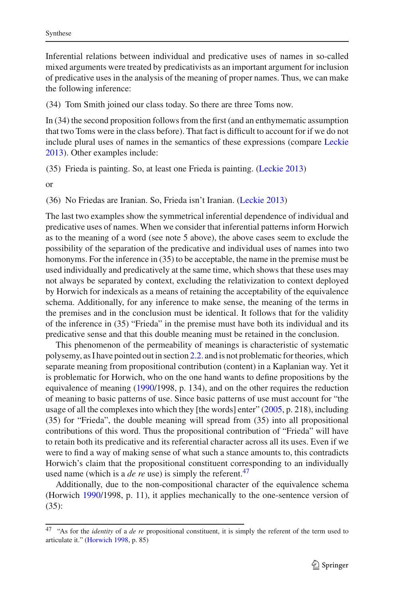Inferential relations between individual and predicative uses of names in so-called mixed arguments were treated by predicativists as an important argument for inclusion of predicative uses in the analysis of the meaning of proper names. Thus, we can make the following inference:

(34) Tom Smith joined our class today. So there are three Toms now.

In (34) the second proposition follows from the first (and an enthymematic assumption that two Toms were in the class before). That fact is difficult to account for if we do not include plural uses of names in the semantics of these expressions (compare [Leckie](#page-29-7) [2013\)](#page-29-7). Other examples include:

(35) Frieda is painting. So, at least one Frieda is painting. [\(Leckie 2013\)](#page-29-7)

or

(36) No Friedas are Iranian. So, Frieda isn't Iranian. [\(Leckie 2013](#page-29-7))

The last two examples show the symmetrical inferential dependence of individual and predicative uses of names. When we consider that inferential patterns inform Horwich as to the meaning of a word (see note 5 above), the above cases seem to exclude the possibility of the separation of the predicative and individual uses of names into two homonyms. For the inference in (35) to be acceptable, the name in the premise must be used individually and predicatively at the same time, which shows that these uses may not always be separated by context, excluding the relativization to context deployed by Horwich for indexicals as a means of retaining the acceptability of the equivalence schema. Additionally, for any inference to make sense, the meaning of the terms in the premises and in the conclusion must be identical. It follows that for the validity of the inference in (35) "Frieda" in the premise must have both its individual and its predicative sense and that this double meaning must be retained in the conclusion.

This phenomenon of the permeability of meanings is characteristic of systematic polysemy, as I have pointed out in section [2.2.](#page-10-4) and is not problematic for theories, which separate meaning from propositional contribution (content) in a Kaplanian way. Yet it is problematic for Horwich, who on the one hand wants to define propositions by the equivalence of meaning [\(1990/](#page-28-0)1998, p. 134), and on the other requires the reduction of meaning to basic patterns of use. Since basic patterns of use must account for "the usage of all the complexes into which they [the words] enter" [\(2005](#page-28-4), p. 218), including (35) for "Frieda", the double meaning will spread from (35) into all propositional contributions of this word. Thus the propositional contribution of "Frieda" will have to retain both its predicative and its referential character across all its uses. Even if we were to find a way of making sense of what such a stance amounts to, this contradicts Horwich's claim that the propositional constituent corresponding to an individually used name (which is a *de re* use) is simply the referent.<sup>47</sup>

Additionally, due to the non-compositional character of the equivalence schema (Horwich [1990/](#page-28-0)1998, p. 11), it applies mechanically to the one-sentence version of (35):

<span id="page-24-0"></span><sup>47</sup> "As for the *identity* of a *de re* propositional constituent, it is simply the referent of the term used to articulate it." [\(Horwich 1998,](#page-28-5) p. 85)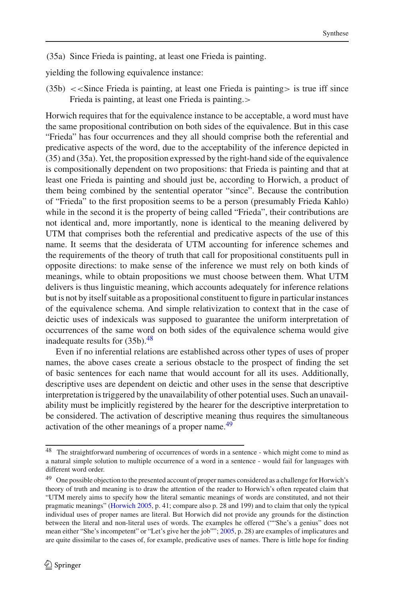(35a) Since Frieda is painting, at least one Frieda is painting.

yielding the following equivalence instance:

 $(35b) <$  < Since Frieda is painting, at least one Frieda is painting > is true iff since Frieda is painting, at least one Frieda is painting.>

Horwich requires that for the equivalence instance to be acceptable, a word must have the same propositional contribution on both sides of the equivalence. But in this case "Frieda" has four occurrences and they all should comprise both the referential and predicative aspects of the word, due to the acceptability of the inference depicted in (35) and (35a). Yet, the proposition expressed by the right-hand side of the equivalence is compositionally dependent on two propositions: that Frieda is painting and that at least one Frieda is painting and should just be, according to Horwich, a product of them being combined by the sentential operator "since". Because the contribution of "Frieda" to the first proposition seems to be a person (presumably Frieda Kahlo) while in the second it is the property of being called "Frieda", their contributions are not identical and, more importantly, none is identical to the meaning delivered by UTM that comprises both the referential and predicative aspects of the use of this name. It seems that the desiderata of UTM accounting for inference schemes and the requirements of the theory of truth that call for propositional constituents pull in opposite directions: to make sense of the inference we must rely on both kinds of meanings, while to obtain propositions we must choose between them. What UTM delivers is thus linguistic meaning, which accounts adequately for inference relations but is not by itself suitable as a propositional constituent to figure in particular instances of the equivalence schema. And simple relativization to context that in the case of deictic uses of indexicals was supposed to guarantee the uniform interpretation of occurrences of the same word on both sides of the equivalence schema would give inadequate results for  $(35b)$ .<sup>48</sup>

Even if no inferential relations are established across other types of uses of proper names, the above cases create a serious obstacle to the prospect of finding the set of basic sentences for each name that would account for all its uses. Additionally, descriptive uses are dependent on deictic and other uses in the sense that descriptive interpretation is triggered by the unavailability of other potential uses. Such an unavailability must be implicitly registered by the hearer for the descriptive interpretation to be considered. The activation of descriptive meaning thus requires the simultaneous activation of the other meanings of a proper name.<sup>[49](#page-25-1)</sup>

<span id="page-25-0"></span><sup>48</sup> The straightforward numbering of occurrences of words in a sentence - which might come to mind as a natural simple solution to multiple occurrence of a word in a sentence - would fail for languages with different word order.

<span id="page-25-1"></span><sup>&</sup>lt;sup>49</sup> One possible objection to the presented account of proper names considered as a challenge for Horwich's theory of truth and meaning is to draw the attention of the reader to Horwich's often repeated claim that "UTM merely aims to specify how the literal semantic meanings of words are constituted, and not their pragmatic meanings" [\(Horwich 2005,](#page-28-4) p. 41; compare also p. 28 and 199) and to claim that only the typical individual uses of proper names are literal. But Horwich did not provide any grounds for the distinction between the literal and non-literal uses of words. The examples he offered (""She's a genius" does not mean either "She's incompetent" or "Let's give her the job""; [2005,](#page-28-4) p. 28) are examples of implicatures and are quite dissimilar to the cases of, for example, predicative uses of names. There is little hope for finding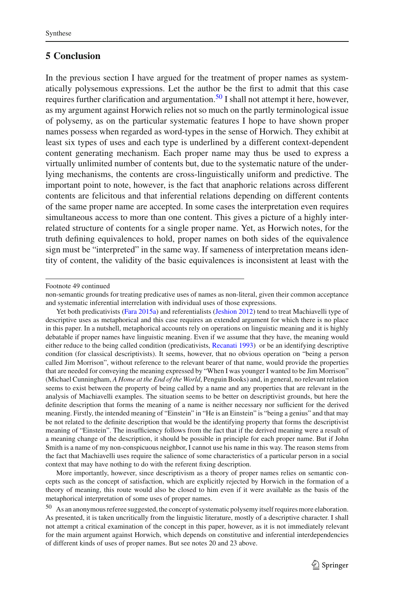## **5 Conclusion**

In the previous section I have argued for the treatment of proper names as systematically polysemous expressions. Let the author be the first to admit that this case requires further clarification and argumentation.[50](#page-26-0) I shall not attempt it here, however, as my argument against Horwich relies not so much on the partly terminological issue of polysemy, as on the particular systematic features I hope to have shown proper names possess when regarded as word-types in the sense of Horwich. They exhibit at least six types of uses and each type is underlined by a different context-dependent content generating mechanism. Each proper name may thus be used to express a virtually unlimited number of contents but, due to the systematic nature of the underlying mechanisms, the contents are cross-linguistically uniform and predictive. The important point to note, however, is the fact that anaphoric relations across different contents are felicitous and that inferential relations depending on different contents of the same proper name are accepted. In some cases the interpretation even requires simultaneous access to more than one content. This gives a picture of a highly interrelated structure of contents for a single proper name. Yet, as Horwich notes, for the truth defining equivalences to hold, proper names on both sides of the equivalence sign must be "interpreted" in the same way. If sameness of interpretation means identity of content, the validity of the basic equivalences is inconsistent at least with the

More importantly, however, since descriptivism as a theory of proper names relies on semantic concepts such as the concept of satisfaction, which are explicitly rejected by Horwich in the formation of a theory of meaning, this route would also be closed to him even if it were available as the basis of the metaphorical interpretation of some uses of proper names.

Footnote 49 continued

non-semantic grounds for treating predicative uses of names as non-literal, given their common acceptance and systematic inferential interrelation with individual uses of those expressions.

Yet both predicativists [\(Fara 2015a\)](#page-27-17) and referentialists [\(Jeshion 2012\)](#page-28-32) tend to treat Machiavelli type of descriptive uses as metaphorical and this case requires an extended argument for which there is no place in this paper. In a nutshell, metaphorical accounts rely on operations on linguistic meaning and it is highly debatable if proper names have linguistic meaning. Even if we assume that they have, the meaning would either reduce to the being called condition (predicativists, [Recanati 1993\)](#page-29-15) or be an identifying descriptive condition (for classical descriptivists). It seems, however, that no obvious operation on "being a person called Jim Morrison", without reference to the relevant bearer of that name, would provide the properties that are needed for conveying the meaning expressed by "When I was younger I wanted to be Jim Morrison" (Michael Cunningham, *A Home at the End of the World*, Penguin Books) and, in general, no relevant relation seems to exist between the property of being called by a name and any properties that are relevant in the analysis of Machiavelli examples. The situation seems to be better on descriptivist grounds, but here the definite description that forms the meaning of a name is neither necessary nor sufficient for the derived meaning. Firstly, the intended meaning of "Einstein" in "He is an Einstein" is "being a genius" and that may be not related to the definite description that would be the identifying property that forms the descriptivist meaning of "Einstein". The insufficiency follows from the fact that if the derived meaning were a result of a meaning change of the description, it should be possible in principle for each proper name. But if John Smith is a name of my non-conspicuous neighbor, I cannot use his name in this way. The reason stems from the fact that Machiavelli uses require the salience of some characteristics of a particular person in a social context that may have nothing to do with the referent fixing description.

<span id="page-26-0"></span><sup>50</sup> As an anonymous referee suggested, the concept of systematic polysemy itself requires more elaboration. As presented, it is taken uncritically from the linguistic literature, mostly of a descriptive character. I shall not attempt a critical examination of the concept in this paper, however, as it is not immediately relevant for the main argument against Horwich, which depends on constitutive and inferential interdependencies of different kinds of uses of proper names. But see notes 20 and 23 above.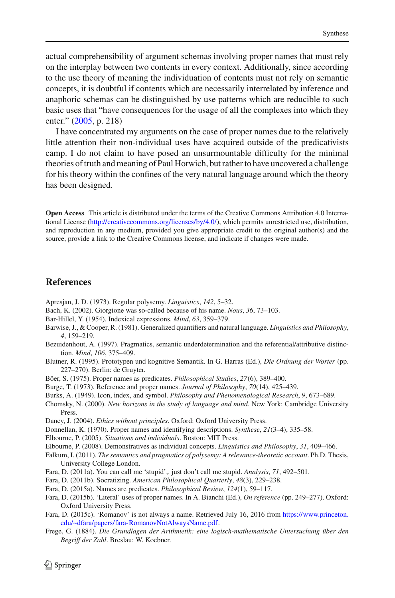actual comprehensibility of argument schemas involving proper names that must rely on the interplay between two contents in every context. Additionally, since according to the use theory of meaning the individuation of contents must not rely on semantic concepts, it is doubtful if contents which are necessarily interrelated by inference and anaphoric schemas can be distinguished by use patterns which are reducible to such basic uses that "have consequences for the usage of all the complexes into which they enter." [\(2005,](#page-28-4) p. 218)

I have concentrated my arguments on the case of proper names due to the relatively little attention their non-individual uses have acquired outside of the predicativists camp. I do not claim to have posed an unsurmountable difficulty for the minimal theories of truth and meaning of Paul Horwich, but rather to have uncovered a challenge for his theory within the confines of the very natural language around which the theory has been designed.

**Open Access** This article is distributed under the terms of the Creative Commons Attribution 4.0 International License [\(http://creativecommons.org/licenses/by/4.0/\)](http://creativecommons.org/licenses/by/4.0/), which permits unrestricted use, distribution, and reproduction in any medium, provided you give appropriate credit to the original author(s) and the source, provide a link to the Creative Commons license, and indicate if changes were made.

#### **References**

<span id="page-27-3"></span>Apresjan, J. D. (1973). Regular polysemy. *Linguistics*, *142*, 5–32.

- <span id="page-27-14"></span>Bach, K. (2002). Giorgione was so-called because of his name. *Nous*, *36*, 73–103.
- <span id="page-27-7"></span>Bar-Hillel, Y. (1954). Indexical expressions. *Mind*, *63*, 359–379.
- <span id="page-27-11"></span>Barwise, J., & Cooper, R. (1981). Generalized quantifiers and natural language. *Linguistics and Philosophy*, *4*, 159–219.
- <span id="page-27-8"></span>Bezuidenhout, A. (1997). Pragmatics, semantic underdetermination and the referential/attributive distinction. *Mind*, *106*, 375–409.
- <span id="page-27-5"></span>Blutner, R. (1995). Prototypen und kognitive Semantik. In G. Harras (Ed.), *Die Ordnung der Worter* (pp. 227–270). Berlin: de Gruyter.
- <span id="page-27-20"></span>Böer, S. (1975). Proper names as predicates. *Philosophical Studies*, *27*(6), 389–400.
- <span id="page-27-13"></span>Burge, T. (1973). Reference and proper names. *Journal of Philosophy*, *70*(14), 425–439.
- <span id="page-27-6"></span>Burks, A. (1949). Icon, index, and symbol. *Philosophy and Phenomenological Research*, *9*, 673–689.
- <span id="page-27-4"></span>Chomsky, N. (2000). *New horizons in the study of language and mind*. New York: Cambridge University Press.
- <span id="page-27-2"></span>Dancy, J. (2004). *Ethics without principles*. Oxford: Oxford University Press.
- <span id="page-27-12"></span>Donnellan, K. (1970). Proper names and identifying descriptions. *Synthese*, *21*(3–4), 335–58.
- <span id="page-27-9"></span>Elbourne, P. (2005). *Situations and individuals*. Boston: MIT Press.
- <span id="page-27-10"></span>Elbourne, P. (2008). Demonstratives as individual concepts. *Linguistics and Philosophy*, *31*, 409–466.
- <span id="page-27-1"></span>Falkum, I. (2011). *The semantics and pragmatics of polysemy: A relevance-theoretic account*. Ph.D. Thesis, University College London.
- <span id="page-27-15"></span>Fara, D. (2011a). You can call me 'stupid',. just don't call me stupid. *Analysis*, *71*, 492–501.
- <span id="page-27-16"></span>Fara, D. (2011b). Socratizing. *American Philosophical Quarterly*, *48*(3), 229–238.
- <span id="page-27-17"></span>Fara, D. (2015a). Names are predicates. *Philosophical Review*, *124*(1), 59–117.
- <span id="page-27-18"></span>Fara, D. (2015b). 'Literal' uses of proper names. In A. Bianchi (Ed.), *On reference* (pp. 249–277). Oxford: Oxford University Press.
- <span id="page-27-19"></span>Fara, D. (2015c). 'Romanov' is not always a name. Retrieved July 16, 2016 from [https://www.princeton.](https://www.princeton.edu/~dfara/papers/fara-RomanovNotAlwaysName.pdf) [edu/~dfara/papers/fara-RomanovNotAlwaysName.pdf.](https://www.princeton.edu/~dfara/papers/fara-RomanovNotAlwaysName.pdf)
- <span id="page-27-0"></span>Frege, G. (1884). *Die Grundlagen der Arithmetik: eine logisch-mathematische Untersuchung über den Begriff der Zahl*. Breslau: W. Koebner.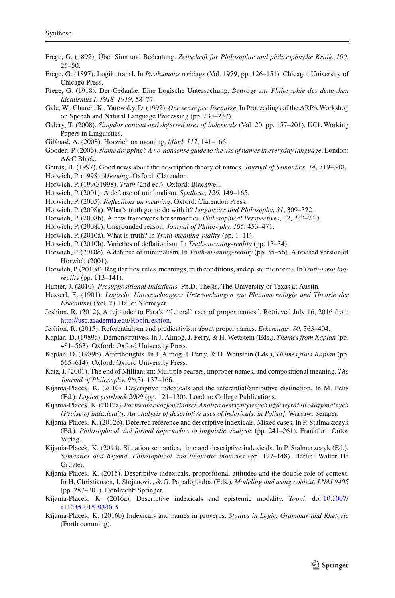- <span id="page-28-25"></span>Frege, G. (1892). Über Sinn und Bedeutung. *Zeitschrift für Philosophie und philosophische Kritik*, *100*, 25–50.
- <span id="page-28-26"></span>Frege, G. (1897). Logik. transl. In *Posthumous writings* (Vol. 1979, pp. 126–151). Chicago: University of Chicago Press.
- <span id="page-28-27"></span>Frege, G. (1918). Der Gedanke. Eine Logische Untersuchung. *Beiträge zur Philosophie des deutschen Idealismus I*, *1918–1919*, 58–77.
- <span id="page-28-12"></span>Gale, W., Church, K., Yarowsky, D. (1992). *One sense per discourse*. In Proceedings of the ARPA Workshop on Speech and Natural Language Processing (pp. 233–237).
- <span id="page-28-21"></span>Galery, T. (2008). *Singular content and deferred uses of indexicals* (Vol. 20, pp. 157–201). UCL Working Papers in Linguistics.
- <span id="page-28-6"></span>Gibbard, A. (2008). Horwich on meaning. *Mind*, *117*, 141–166.
- <span id="page-28-31"></span>Gooden, P. (2006).*Name dropping? A no-nonsense guide to the use of names in everyday language*. London: A&C Black.
- <span id="page-28-28"></span>Geurts, B. (1997). Good news about the description theory of names. *Journal of Semantics*, *14*, 319–348.
- <span id="page-28-5"></span>Horwich, P. (1998). *Meaning*. Oxford: Clarendon.
- <span id="page-28-0"></span>Horwich, P. (1990/1998). *Truth* (2nd ed.). Oxford: Blackwell.
- <span id="page-28-2"></span>Horwich, P. (2001). A defense of minimalism. *Synthese*, *126*, 149–165.
- <span id="page-28-4"></span>Horwich, P. (2005). *Reflections on meaning*. Oxford: Clarendon Press.
- <span id="page-28-8"></span>Horwich, P. (2008a). What's truth got to do with it? *Linguistics and Philosophy*, *31*, 309–322.
- <span id="page-28-9"></span>Horwich, P. (2008b). A new framework for semantics. *Philosophical Perspectives*, *22*, 233–240.
- <span id="page-28-11"></span>Horwich, P. (2008c). Ungrounded reason. *Journal of Philosophy, 105*, 453–471.
- <span id="page-28-3"></span>Horwich, P. (2010a). What is truth? In *Truth-meaning-reality* (pp. 1–11).
- <span id="page-28-1"></span>Horwich, P. (2010b). Varieties of deflationism. In *Truth-meaning-reality* (pp. 13–34).
- <span id="page-28-7"></span>Horwich, P. (2010c). A defense of minimalism. In *Truth-meaning-reality* (pp. 35–56). A revised version of Horwich (2001).
- <span id="page-28-10"></span>Horwich, P. (2010d). Regularities, rules, meanings, truth conditions, and epistemic norms. In *Truth-meaningreality* (pp. 113–141).
- <span id="page-28-13"></span>Hunter, J. (2010). *Presuppositional Indexicals.* Ph.D. Thesis, The University of Texas at Austin.
- <span id="page-28-16"></span>Husserl, E. (1901). *Logische Untersuchungen: Untersuchungen zur Phänomenologie und Theorie der Erkenntnis* (Vol. 2). Halle: Niemeyer.
- <span id="page-28-32"></span>Jeshion, R. (2012). A rejoinder to Fara's "'Literal' uses of proper names". Retrieved July 16, 2016 from [http://usc.academia.edu/RobinJeshion.](http://usc.academia.edu/RobinJeshion)
- <span id="page-28-30"></span>Jeshion, R. (2015). Referentialism and predicativism about proper names. *Erkenntnis*, *80*, 363–404.
- <span id="page-28-14"></span>Kaplan, D. (1989a). Demonstratives. In J. Almog, J. Perry, & H. Wettstein (Eds.), *Themes from Kaplan* (pp. 481–563). Oxford: Oxford University Press.
- <span id="page-28-15"></span>Kaplan, D. (1989b). Afterthoughts. In J. Almog, J. Perry, & H. Wettstein (Eds.), *Themes from Kaplan* (pp. 565–614). Oxford: Oxford University Press.
- <span id="page-28-29"></span>Katz, J. (2001). The end of Millianism: Multiple bearers, improper names, and compositional meaning. *The Journal of Philosophy*, *98*(3), 137–166.
- <span id="page-28-24"></span>Kijania-Placek, K. (2010). Descriptive indexicals and the referential/attributive distinction. In M. Pelis (Ed.), *Logica yearbook 2009* (pp. 121–130). London: College Publications.
- <span id="page-28-17"></span>Kijania-Placek, K. (2012a). *Pochwała okazjonalności. Analiza deskryptywnych użyć wyrażeń okazjonalnych [Praise of indexicality. An analysis of descriptive uses of indexicals, in Polish]*. Warsaw: Semper.
- <span id="page-28-18"></span>Kijania-Placek, K. (2012b). Deferred reference and descriptive indexicals. Mixed cases. In P. Stalmaszczyk (Ed.), *Philosophical and formal approaches to linguistic analysis* (pp. 241–261). Frankfurt: Ontos Verlag.
- <span id="page-28-22"></span>Kijania-Placek, K. (2014). Situation semantics, time and descriptive indexicals. In P. Stalmaszczyk (Ed.), *Semantics and beyond. Philosophical and linguistic inquiries* (pp. 127–148). Berlin: Walter De Gruyter.
- <span id="page-28-19"></span>Kijania-Placek, K. (2015). Descriptive indexicals, propositional attitudes and the double role of context. In H. Christiansen, I. Stojanovic, & G. Papadopoulos (Eds.), *Modeling and using context. LNAI 9405* (pp. 287–301). Dordrecht: Springer.
- <span id="page-28-20"></span>Kijania-Placek, K. (2016a). Descriptive indexicals and epistemic modality. *Topoi*. doi[:10.1007/](http://dx.doi.org/10.1007/s11245-015-9340-5) [s11245-015-9340-5](http://dx.doi.org/10.1007/s11245-015-9340-5)
- <span id="page-28-23"></span>Kijania-Placek, K. (2016b) Indexicals and names in proverbs. *Studies in Logic, Grammar and Rhetoric* (Forth comming).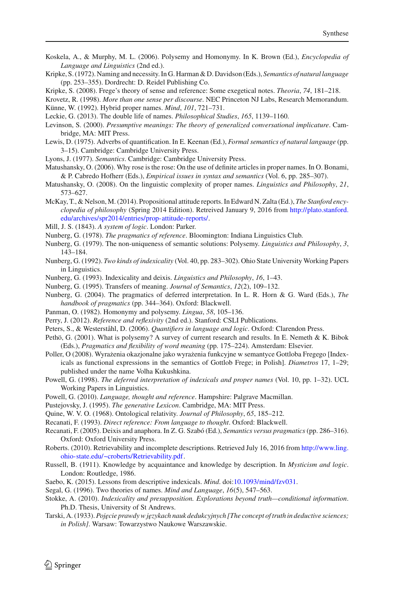- <span id="page-29-3"></span>Koskela, A., & Murphy, M. L. (2006). Polysemy and Homonymy. In K. Brown (Ed.), *Encyclopedia of Language and Linguistics* (2nd ed.).
- <span id="page-29-0"></span>Kripke, S. (1972). Naming and necessity. In G. Harman & D. Davidson (Eds.), *Semantics of natural language* (pp. 253–355). Dordrecht: D. Reidel Publishing Co.
- <span id="page-29-23"></span>Kripke, S. (2008). Frege's theory of sense and reference: Some exegetical notes. *Theoria*, *74*, 181–218.
- <span id="page-29-10"></span>Krovetz, R. (1998). *More than one sense per discourse*. NEC Princeton NJ Labs, Research Memorandum.

<span id="page-29-21"></span>Künne, W. (1992). Hybrid proper names. *Mind*, *101*, 721–731.

- <span id="page-29-7"></span>Leckie, G. (2013). The double life of names. *Philosophical Studies*, *165*, 1139–1160.
- <span id="page-29-27"></span>Levinson, S. (2000). *Presumptive meanings: The theory of generalized conversational implicature*. Cambridge, MA: MIT Press.
- <span id="page-29-25"></span>Lewis, D. (1975). Adverbs of quantification. In E. Keenan (Ed.), *Formal semantics of natural language* (pp. 3–15). Cambridge: Cambridge University Press.
- <span id="page-29-2"></span>Lyons, J. (1977). *Semantics*. Cambridge: Cambridge University Press.
- <span id="page-29-31"></span>Matushansky, O. (2006). Why rose is the rose: On the use of definite articles in proper names. In O. Bonami, & P. Cabredo Hofherr (Eds.), *Empirical issues in syntax and semantics* (Vol. 6, pp. 285–307).
- <span id="page-29-32"></span>Matushansky, O. (2008). On the linguistic complexity of proper names. *Linguistics and Philosophy*, *21*, 573–627.
- <span id="page-29-20"></span>McKay, T., & Nelson, M. (2014). Propositional attitude reports. In Edward N. Zalta (Ed.), *The Stanford encyclopedia of philosophy* (Spring 2014 Edition). Retreived January 9, 2016 from [http://plato.stanford.](http://plato.stanford.edu/archives/spr2014/entries/prop-attitude-reports/) [edu/archives/spr2014/entries/prop-attitude-reports/.](http://plato.stanford.edu/archives/spr2014/entries/prop-attitude-reports/)
- <span id="page-29-28"></span>Mill, J. S. (1843). *A system of logic*. London: Parker.
- <span id="page-29-12"></span>Nunberg, G. (1978). *The pragmatics of reference*. Bloomington: Indiana Linguistics Club.
- <span id="page-29-13"></span>Nunberg, G. (1979). The non-uniqueness of semantic solutions: Polysemy. *Linguistics and Philosophy*, *3*, 143–184.
- <span id="page-29-34"></span>Nunberg, G. (1992). *Two kinds of indexicality* (Vol. 40, pp. 283–302). Ohio State University Working Papers in Linguistics.
- <span id="page-29-11"></span>Nunberg, G. (1993). Indexicality and deixis. *Linguistics and Philosophy*, *16*, 1–43.
- <span id="page-29-8"></span>Nunberg, G. (1995). Transfers of meaning. *Journal of Semantics*, *12*(2), 109–132.
- <span id="page-29-14"></span>Nunberg, G. (2004). The pragmatics of deferred interpretation. In L. R. Horn & G. Ward (Eds.), *The handbook of pragmatics* (pp. 344–364). Oxford: Blackwell.
- <span id="page-29-4"></span>Panman, O. (1982). Homonymy and polysemy. *Lingua*, *58*, 105–136.
- <span id="page-29-5"></span>Perry, J. (2012). *Reference and reflexivity* (2nd ed.). Stanford: CSLI Publications.
- <span id="page-29-26"></span>Peters, S., & Westerståhl, D. (2006). *Quantifiers in language and logic*. Oxford: Clarendon Press.
- <span id="page-29-6"></span>Pethö, G. (2001). What is polysemy? A survey of current research and results. In E. Nemeth & K. Bibok (Eds.), *Pragmatics and flexibility of word meaning* (pp. 175–224). Amsterdam: Elsevier.
- <span id="page-29-22"></span>Poller, O (2008). Wyrażenia okazjonalne jako wyrażenia funkcyjne w semantyce Gottloba Fregego [Indexicals as functional expressions in the semantics of Gottlob Frege; in Polish]. *Diametros* 17, 1–29; published under the name Volha Kukushkina.
- <span id="page-29-17"></span>Powell, G. (1998). *The deferred interpretation of indexicals and proper names* (Vol. 10, pp. 1–32). UCL Working Papers in Linguistics.
- <span id="page-29-18"></span>Powell, G. (2010). *Language, thought and reference*. Hampshire: Palgrave Macmillan.
- <span id="page-29-9"></span>Pustejovsky, J. (1995). *The generative Lexicon*. Cambridge, MA: MIT Press.
- <span id="page-29-35"></span>Quine, W. V. O. (1968). Ontological relativity. *Journal of Philosophy*, *65*, 185–212.
- <span id="page-29-15"></span>Recanati, F. (1993). *Direct reference: From language to thought*. Oxford: Blackwell.

<span id="page-29-16"></span>Recanati, F. (2005). Deixis and anaphora. In Z. G. Szabó (Ed.), *Semantics versus pragmatics* (pp. 286–316). Oxford: Oxford University Press.

- <span id="page-29-24"></span>Roberts. (2010). Retrievability and incomplete descriptions. Retrieved July 16, 2016 from [http://www.ling.](http://www.ling.ohio-state.edu/~croberts/Retrievability.pdf) [ohio-state.edu/~croberts/Retrievability.pdf.](http://www.ling.ohio-state.edu/~croberts/Retrievability.pdf)
- <span id="page-29-29"></span>Russell, B. (1911). Knowledge by acquaintance and knowledge by description. In *Mysticism and logic*. London: Routledge, 1986.
- <span id="page-29-33"></span>Saebo, K. (2015). Lessons from descriptive indexicals. *Mind*. doi[:10.1093/mind/fzv031.](http://dx.doi.org/10.1093/mind/fzv031)
- <span id="page-29-30"></span>Segal, G. (1996). Two theories of names. *Mind and Language*, *16*(5), 547–563.
- <span id="page-29-19"></span>Stokke, A. (2010). *Indexicality and presupposition. Explorations beyond truth—conditional information*. Ph.D. Thesis, University of St Andrews.
- <span id="page-29-1"></span>Tarski, A. (1933). *Pojecie prawdy w językach nauk dedukcyjnych [The concept of truth in deductive sciences; in Polish]*. Warsaw: Towarzystwo Naukowe Warszawskie.